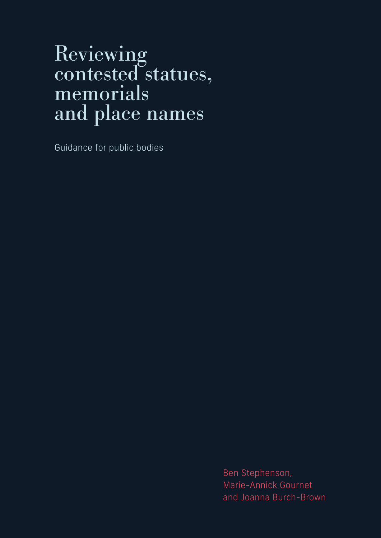# Reviewing contested statues, memorials and place names

Guidance for public bodies

Ben Stephenson, Marie-Annick Gournet and Joanna Burch-Brown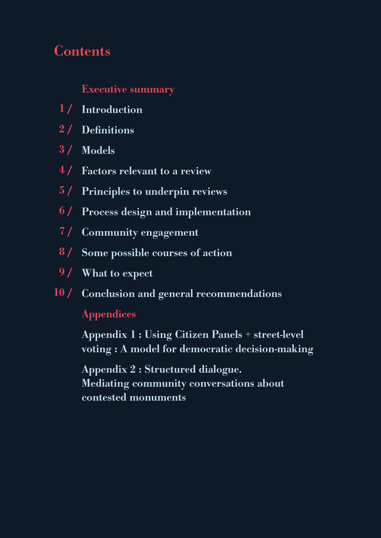# **Contents**

# Executive summary

- 1/ Introduction
- 2/ Definitions
- 3 / Models
- 4 / Factors relevant to a review
- 5 / Principles to underpin reviews
- 6 / Process design and implementation
- 7 / Community engagement
- 8 / Some possible courses of action
- 9/ What to expect
- 10 / Conclusion and general recommendations Appendices

 Appendix 1 : Using Citizen Panels + street-level voting : A model for democratic decision-making

 Appendix 2 : Structured dialogue. Mediating community conversations about contested monuments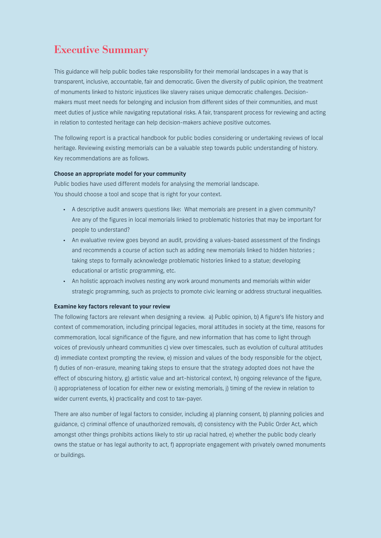# Executive Summary

This guidance will help public bodies take responsibility for their memorial landscapes in a way that is transparent, inclusive, accountable, fair and democratic. Given the diversity of public opinion, the treatment of monuments linked to historic injustices like slavery raises unique democratic challenges. Decisionmakers must meet needs for belonging and inclusion from different sides of their communities, and must meet duties of justice while navigating reputational risks. A fair, transparent process for reviewing and acting in relation to contested heritage can help decision-makers achieve positive outcomes.

The following report is a practical handbook for public bodies considering or undertaking reviews of local heritage. Reviewing existing memorials can be a valuable step towards public understanding of history. Key recommendations are as follows.

#### Choose an appropriate model for your community

Public bodies have used different models for analysing the memorial landscape. You should choose a tool and scope that is right for your context.

- A descriptive audit answers questions like: What memorials are present in a given community? Are any of the figures in local memorials linked to problematic histories that may be important for people to understand?
- An evaluative review goes beyond an audit, providing a values-based assessment of the findings and recommends a course of action such as adding new memorials linked to hidden histories ; taking steps to formally acknowledge problematic histories linked to a statue; developing educational or artistic programming, etc.
- An holistic approach involves nesting any work around monuments and memorials within wider strategic programming, such as projects to promote civic learning or address structural inequalities.

#### Examine key factors relevant to your review

The following factors are relevant when designing a review. a) Public opinion, b) A figure's life history and context of commemoration, including principal legacies, moral attitudes in society at the time, reasons for commemoration, local significance of the figure, and new information that has come to light through voices of previously unheard communities c) view over timescales, such as evolution of cultural attitudes d) immediate context prompting the review, e) mission and values of the body responsible for the object, f) duties of non-erasure, meaning taking steps to ensure that the strategy adopted does not have the effect of obscuring history, g) artistic value and art-historical context, h) ongoing relevance of the figure, i) appropriateness of location for either new or existing memorials, j) timing of the review in relation to wider current events, k) practicality and cost to tax-payer.

There are also number of legal factors to consider, including a) planning consent, b) planning policies and guidance, c) criminal offence of unauthorized removals, d) consistency with the Public Order Act, which amongst other things prohibits actions likely to stir up racial hatred, e) whether the public body clearly owns the statue or has legal authority to act, f) appropriate engagement with privately owned monuments or buildings.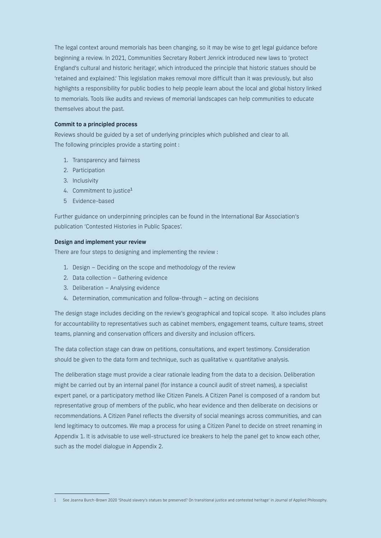The legal context around memorials has been changing, so it may be wise to get legal guidance before beginning a review. In 2021, Communities Secretary Robert Jenrick introduced new laws to 'protect England's cultural and historic heritage', which introduced the principle that historic statues should be 'retained and explained.' This legislation makes removal more difficult than it was previously, but also highlights a responsibility for public bodies to help people learn about the local and global history linked to memorials. Tools like audits and reviews of memorial landscapes can help communities to educate themselves about the past.

#### Commit to a principled process

Reviews should be guided by a set of underlying principles which published and clear to all. The following principles provide a starting point :

- 1. Transparency and fairness
- 2. Participation
- 3. Inclusivity
- 4. Commitment to justice<sup>1</sup>
- 5 Evidence-based

Further guidance on underpinning principles can be found in the International Bar Association's publication 'Contested Histories in Public Spaces'.

### Design and implement your review

There are four steps to designing and implementing the review :

- 1. Design Deciding on the scope and methodology of the review
- 2. Data collection Gathering evidence
- 3. Deliberation Analysing evidence
- 4. Determination, communication and follow-through acting on decisions

The design stage includes deciding on the review's geographical and topical scope. It also includes plans for accountability to representatives such as cabinet members, engagement teams, culture teams, street teams, planning and conservation officers and diversity and inclusion officers.

The data collection stage can draw on petitions, consultations, and expert testimony. Consideration should be given to the data form and technique, such as qualitative v. quantitative analysis.

The deliberation stage must provide a clear rationale leading from the data to a decision. Deliberation might be carried out by an internal panel (for instance a council audit of street names), a specialist expert panel, or a participatory method like Citizen Panels. A Citizen Panel is composed of a random but representative group of members of the public, who hear evidence and then deliberate on decisions or recommendations. A Citizen Panel reflects the diversity of social meanings across communities, and can lend legitimacy to outcomes. We map a process for using a Citizen Panel to decide on street renaming in Appendix 1. It is advisable to use well-structured ice breakers to help the panel get to know each other, such as the model dialogue in Appendix 2.

<sup>1</sup> See Joanna Burch-Brown 2020 'Should slavery's statues be preserved? On transitional justice and contested heritage' in Journal of Applied Philosophy.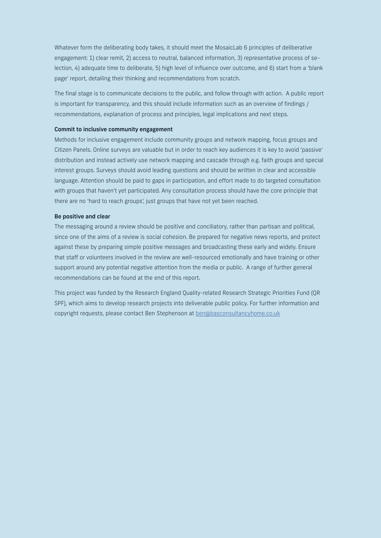Whatever form the deliberating body takes, it should meet the MosaicLab 6 principles of deliberative engagement: 1) clear remit, 2) access to neutral, balanced information, 3) representative process of selection, 4) adequate time to deliberate, 5) high level of influence over outcome, and 6) start from a 'blank page' report, detailing their thinking and recommendations from scratch.

The final stage is to communicate decisions to the public, and follow through with action. A public report is important for transparency, and this should include information such as an overview of findings / recommendations, explanation of process and principles, legal implications and next steps.

#### Commit to inclusive community engagement

Methods for inclusive engagement include community groups and network mapping, focus groups and Citizen Panels. Online surveys are valuable but in order to reach key audiences it is key to avoid 'passive' distribution and instead actively use network mapping and cascade through e.g. faith groups and special interest groups. Surveys should avoid leading questions and should be written in clear and accessible language. Attention should be paid to gaps in participation, and effort made to do targeted consultation with groups that haven't yet participated. Any consultation process should have the core principle that there are no 'hard to reach groups', just groups that have not yet been reached.

#### Be positive and clear

The messaging around a review should be positive and conciliatory, rather than partisan and political, since one of the aims of a review is social cohesion. Be prepared for negative news reports, and protect against these by preparing simple positive messages and broadcasting these early and widely. Ensure that staff or volunteers involved in the review are well-resourced emotionally and have training or other support around any potential negative attention from the media or public. A range of further general recommendations can be found at the end of this report.

This project was funded by the Research England Quality-related Research Strategic Priorities Fund (QR SPF), which aims to develop research projects into deliverable public policy. For further information and copyright requests, please contact Ben Stephenson at ben@basconsultancyhome.co.uk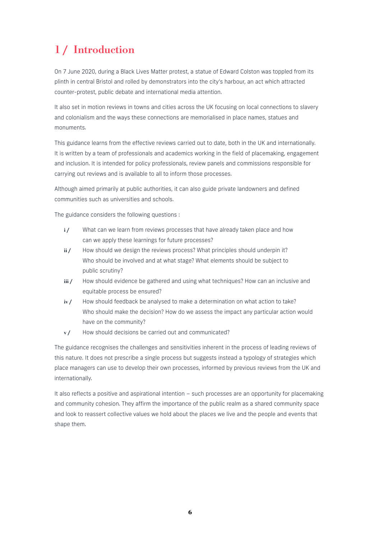# 1 / Introduction

On 7 June 2020, during a Black Lives Matter protest, a statue of Edward Colston was toppled from its plinth in central Bristol and rolled by demonstrators into the city's harbour, an act which attracted counter-protest, public debate and international media attention.

It also set in motion reviews in towns and cities across the UK focusing on local connections to slavery and colonialism and the ways these connections are memorialised in place names, statues and monuments.

This guidance learns from the effective reviews carried out to date, both in the UK and internationally. It is written by a team of professionals and academics working in the field of placemaking, engagement and inclusion. It is intended for policy professionals, review panels and commissions responsible for carrying out reviews and is available to all to inform those processes.

Although aimed primarily at public authorities, it can also guide private landowners and defined communities such as universities and schools.

The guidance considers the following questions :

- i/ What can we learn from reviews processes that have already taken place and how can we apply these learnings for future processes?
- ii / How should we design the reviews process? What principles should underpin it? Who should be involved and at what stage? What elements should be subject to public scrutiny?
- iii / How should evidence be gathered and using what techniques? How can an inclusive and equitable process be ensured?
- iv / How should feedback be analysed to make a determination on what action to take? Who should make the decision? How do we assess the impact any particular action would have on the community?
- v/ How should decisions be carried out and communicated?

The guidance recognises the challenges and sensitivities inherent in the process of leading reviews of this nature. It does not prescribe a single process but suggests instead a typology of strategies which place managers can use to develop their own processes, informed by previous reviews from the UK and internationally.

It also reflects a positive and aspirational intention – such processes are an opportunity for placemaking and community cohesion. They affirm the importance of the public realm as a shared community space and look to reassert collective values we hold about the places we live and the people and events that shape them.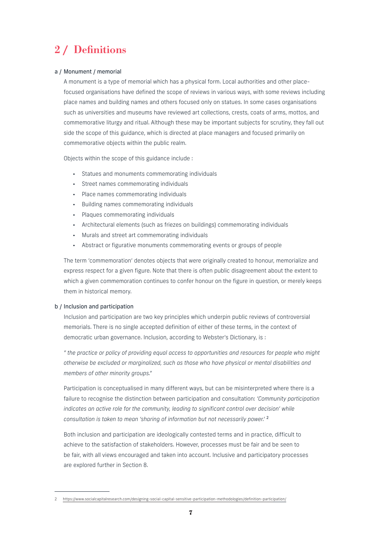# 2 / Definitions

# a / Monument / memorial

A monument is a type of memorial which has a physical form. Local authorities and other placefocused organisations have defined the scope of reviews in various ways, with some reviews including place names and building names and others focused only on statues. In some cases organisations such as universities and museums have reviewed art collections, crests, coats of arms, mottos, and commemorative liturgy and ritual. Although these may be important subjects for scrutiny, they fall out side the scope of this guidance, which is directed at place managers and focused primarily on commemorative objects within the public realm.

Objects within the scope of this guidance include :

- Statues and monuments commemorating individuals
- Street names commemorating individuals
- Place names commemorating individuals
- Building names commemorating individuals
- Plaques commemorating individuals
- Architectural elements (such as friezes on buildings) commemorating individuals
- Murals and street art commemorating individuals
- Abstract or figurative monuments commemorating events or groups of people

The term 'commemoration' denotes objects that were originally created to honour, memorialize and express respect for a given figure. Note that there is often public disagreement about the extent to which a given commemoration continues to confer honour on the figure in question, or merely keeps them in historical memory.

# b / Inclusion and participation

Inclusion and participation are two key principles which underpin public reviews of controversial memorials. There is no single accepted definition of either of these terms, in the context of democratic urban governance. Inclusion, according to Webster's Dictionary, is :

*" the practice or policy of providing equal access to opportunities and resources for people who might otherwise be excluded or marginalized, such as those who have physical or mental disabilities and members of other minority groups."*

Participation is conceptualised in many different ways, but can be misinterpreted where there is a failure to recognise the distinction between participation and consultation: *'Community participation indicates an active role for the community, leading to significant control over decision' while consultation is taken to mean 'sharing of information but not necessarily power.'* <sup>2</sup>

Both inclusion and participation are ideologically contested terms and in practice, difficult to achieve to the satisfaction of stakeholders. However, processes must be fair and be seen to be fair, with all views encouraged and taken into account. Inclusive and participatory processes are explored further in Section 8.

<sup>2</sup> https://www.socialcapitalresearch.com/designing-social-capital-sensitive-participation-methodologies/definition-participation/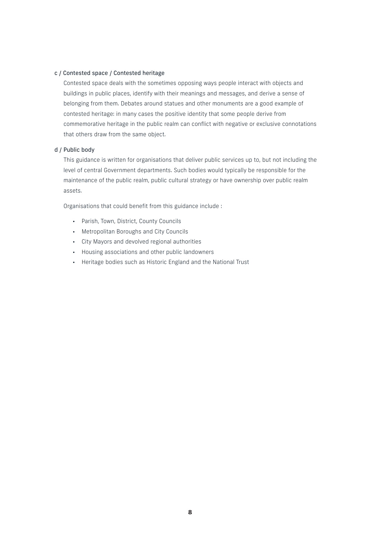# c / Contested space / Contested heritage

Contested space deals with the sometimes opposing ways people interact with objects and buildings in public places, identify with their meanings and messages, and derive a sense of belonging from them. Debates around statues and other monuments are a good example of contested heritage: in many cases the positive identity that some people derive from commemorative heritage in the public realm can conflict with negative or exclusive connotations that others draw from the same object.

# d / Public body

This guidance is written for organisations that deliver public services up to, but not including the level of central Government departments. Such bodies would typically be responsible for the maintenance of the public realm, public cultural strategy or have ownership over public realm assets.

Organisations that could benefit from this guidance include :

- Parish, Town, District, County Councils
- Metropolitan Boroughs and City Councils
- City Mayors and devolved regional authorities
- Housing associations and other public landowners
- Heritage bodies such as Historic England and the National Trust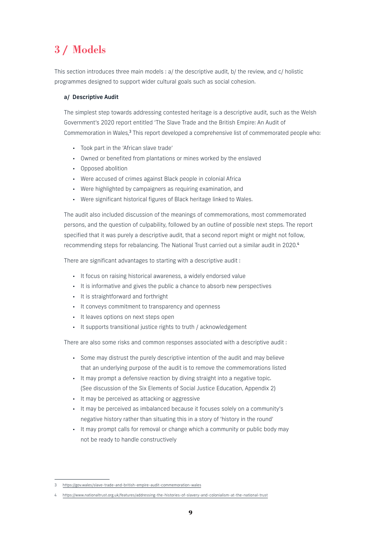# 3 / Models

This section introduces three main models : a/ the descriptive audit, b/ the review, and c/ holistic programmes designed to support wider cultural goals such as social cohesion.

# a/ Descriptive Audit

The simplest step towards addressing contested heritage is a descriptive audit, such as the Welsh Government's 2020 report entitled 'The Slave Trade and the British Empire: An Audit of Commemoration in Wales,<sup>3</sup> This report developed a comprehensive list of commemorated people who:

- Took part in the 'African slave trade'
- Owned or benefited from plantations or mines worked by the enslaved
- Opposed abolition
- Were accused of crimes against Black people in colonial Africa
- Were highlighted by campaigners as requiring examination, and
- Were significant historical figures of Black heritage linked to Wales.

The audit also included discussion of the meanings of commemorations, most commemorated persons, and the question of culpability, followed by an outline of possible next steps. The report specified that it was purely a descriptive audit, that a second report might or might not follow, recommending steps for rebalancing. The National Trust carried out a similar audit in 2020.<sup>4</sup>

There are significant advantages to starting with a descriptive audit :

- It focus on raising historical awareness, a widely endorsed value
- It is informative and gives the public a chance to absorb new perspectives
- It is straightforward and forthright
- It conveys commitment to transparency and openness
- It leaves options on next steps open
- It supports transitional justice rights to truth / acknowledgement

There are also some risks and common responses associated with a descriptive audit :

- Some may distrust the purely descriptive intention of the audit and may believe that an underlying purpose of the audit is to remove the commemorations listed
- It may prompt a defensive reaction by diving straight into a negative topic. (See discussion of the Six Elements of Social Justice Education, Appendix 2)
- It may be perceived as attacking or aggressive
- It may be perceived as imbalanced because it focuses solely on a community's negative history rather than situating this in a story of 'history in the round'
- It may prompt calls for removal or change which a community or public body may not be ready to handle constructively

<sup>3</sup> https://gov.wales/slave-trade-and-british-empire-audit-commemoration-wales

<sup>4</sup> https://www.nationaltrust.org.uk/features/addressing-the-histories-of-slavery-and-colonialism-at-the-national-trust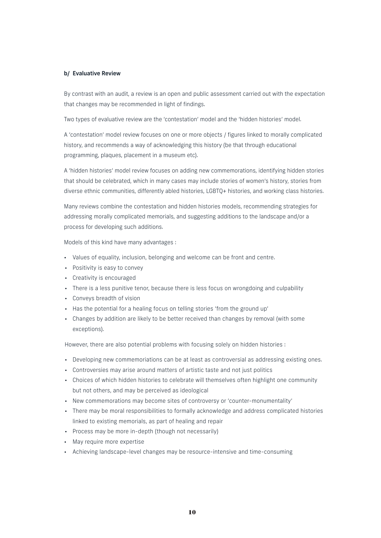# b/ Evaluative Review

By contrast with an audit, a review is an open and public assessment carried out with the expectation that changes may be recommended in light of findings.

Two types of evaluative review are the 'contestation' model and the 'hidden histories' model.

A 'contestation' model review focuses on one or more objects / figures linked to morally complicated history, and recommends a way of acknowledging this history (be that through educational programming, plaques, placement in a museum etc).

A 'hidden histories' model review focuses on adding new commemorations, identifying hidden stories that should be celebrated, which in many cases may include stories of women's history, stories from diverse ethnic communities, differently abled histories, LGBTQ+ histories, and working class histories.

Many reviews combine the contestation and hidden histories models, recommending strategies for addressing morally complicated memorials, and suggesting additions to the landscape and/or a process for developing such additions.

Models of this kind have many advantages :

- Values of equality, inclusion, belonging and welcome can be front and centre.
- Positivity is easy to convey
- Creativity is encouraged
- There is a less punitive tenor, because there is less focus on wrongdoing and culpability
- Conveys breadth of vision
- Has the potential for a healing focus on telling stories 'from the ground up'
- Changes by addition are likely to be better received than changes by removal (with some exceptions).

However, there are also potential problems with focusing solely on hidden histories :

- Developing new commemoriations can be at least as controversial as addressing existing ones.
- Controversies may arise around matters of artistic taste and not just politics
- Choices of which hidden histories to celebrate will themselves often highlight one community but not others, and may be perceived as ideological
- New commemorations may become sites of controversy or 'counter-monumentality'
- There may be moral responsibilities to formally acknowledge and address complicated histories linked to existing memorials, as part of healing and repair
- Process may be more in-depth (though not necessarily)
- May require more expertise
- Achieving landscape-level changes may be resource-intensive and time-consuming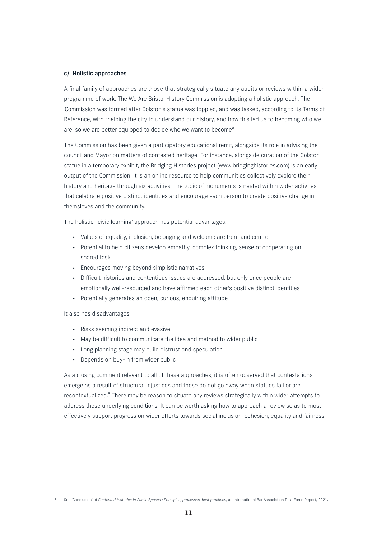# c/ Holistic approaches

A final family of approaches are those that strategically situate any audits or reviews within a wider programme of work. The We Are Bristol History Commission is adopting a holistic approach. The Commission was formed after Colston's statue was toppled, and was tasked, according to its Terms of Reference, with "helping the city to understand our history, and how this led us to becoming who we are, so we are better equipped to decide who we want to become".

The Commission has been given a participatory educational remit, alongside its role in advising the council and Mayor on matters of contested heritage. For instance, alongside curation of the Colston statue in a temporary exhibit, the Bridging Histories project (www.bridginghistories.com) is an early output of the Commission. It is an online resource to help communities collectively explore their history and heritage through six activities. The topic of monuments is nested within wider activties that celebrate positive distinct identities and encourage each person to create positive change in themsleves and the community.

The holistic, 'civic learning' approach has potential advantages.

- Values of equality, inclusion, belonging and welcome are front and centre
- Potential to help citizens develop empathy, complex thinking, sense of cooperating on shared task
- Encourages moving beyond simplistic narratives
- Difficult histories and contentious issues are addressed, but only once people are emotionally well-resourced and have affirmed each other's positive distinct identities
- Potentially generates an open, curious, enquiring attitude

It also has disadvantages:

- Risks seeming indirect and evasive
- May be difficult to communicate the idea and method to wider public
- Long planning stage may build distrust and speculation
- Depends on buy-in from wider public

As a closing comment relevant to all of these approaches, it is often observed that contestations emerge as a result of structural injustices and these do not go away when statues fall or are recontextualized.<sup>5</sup> There may be reason to situate any reviews strategically within wider attempts to address these underlying conditions. It can be worth asking how to approach a review so as to most effectively support progress on wider efforts towards social inclusion, cohesion, equality and fairness.

<sup>5</sup> See 'Conclusion' of *Contested Histories in Public Spaces : Principles, processes, best practices*, an International Bar Association Task Force Report, 2021.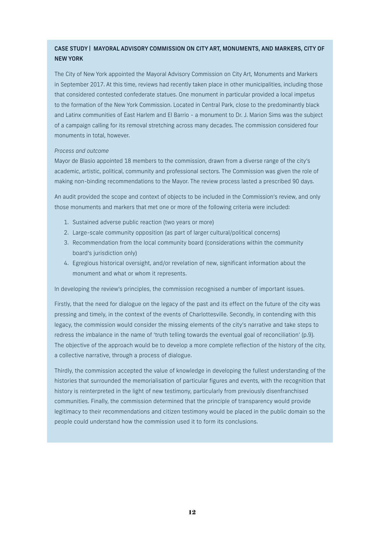# CASE STUDY | MAYORAL ADVISORY COMMISSION ON CITY ART, MONUMENTS, AND MARKERS, CITY OF NEW YORK

The City of New York appointed the Mayoral Advisory Commission on City Art, Monuments and Markers in September 2017. At this time, reviews had recently taken place in other municipalities, including those that considered contested confederate statues. One monument in particular provided a local impetus to the formation of the New York Commission. Located in Central Park, close to the predominantly black and Latinx communities of East Harlem and El Barrio - a monument to Dr. J. Marion Sims was the subject of a campaign calling for its removal stretching across many decades. The commission considered four monuments in total, however.

# *Process and outcome*

Mayor de Blasio appointed 18 members to the commission, drawn from a diverse range of the city's academic, artistic, political, community and professional sectors. The Commission was given the role of making non-binding recommendations to the Mayor. The review process lasted a prescribed 90 days.

An audit provided the scope and context of objects to be included in the Commission's review, and only those monuments and markers that met one or more of the following criteria were included:

- 1. Sustained adverse public reaction (two years or more)
- 2. Large-scale community opposition (as part of larger cultural/political concerns)
- 3. Recommendation from the local community board (considerations within the community board's jurisdiction only)
- 4. Egregious historical oversight, and/or revelation of new, significant information about the monument and what or whom it represents.

In developing the review's principles, the commission recognised a number of important issues.

Firstly, that the need for dialogue on the legacy of the past and its effect on the future of the city was pressing and timely, in the context of the events of Charlottesville. Secondly, in contending with this legacy, the commission would consider the missing elements of the city's narrative and take steps to redress the imbalance in the name of 'truth telling towards the eventual goal of reconciliation' (p.9). The objective of the approach would be to develop a more complete reflection of the history of the city, a collective narrative, through a process of dialogue.

Thirdly, the commission accepted the value of knowledge in developing the fullest understanding of the histories that surrounded the memorialisation of particular figures and events, with the recognition that history is reinterpreted in the light of new testimony, particularly from previously disenfranchised communities. Finally, the commission determined that the principle of transparency would provide legitimacy to their recommendations and citizen testimony would be placed in the public domain so the people could understand how the commission used it to form its conclusions.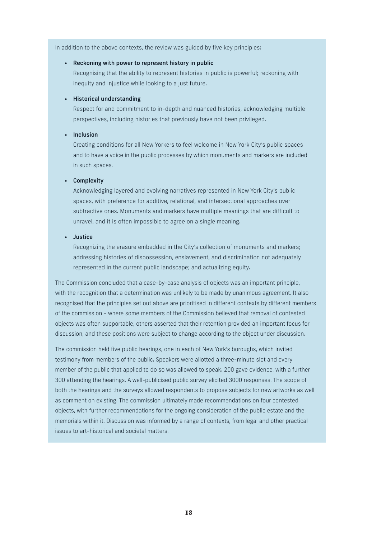In addition to the above contexts, the review was guided by five key principles:

# • Reckoning with power to represent history in public

 Recognising that the ability to represent histories in public is powerful; reckoning with inequity and injustice while looking to a just future.

#### • Historical understanding

 Respect for and commitment to in-depth and nuanced histories, acknowledging multiple perspectives, including histories that previously have not been privileged.

#### • Inclusion

 Creating conditions for all New Yorkers to feel welcome in New York City's public spaces and to have a voice in the public processes by which monuments and markers are included in such spaces.

# • Complexity

 Acknowledging layered and evolving narratives represented in New York City's public spaces, with preference for additive, relational, and intersectional approaches over subtractive ones. Monuments and markers have multiple meanings that are difficult to unravel, and it is often impossible to agree on a single meaning.

### • Justice

 Recognizing the erasure embedded in the City's collection of monuments and markers; addressing histories of dispossession, enslavement, and discrimination not adequately represented in the current public landscape; and actualizing equity.

The Commission concluded that a case-by-case analysis of objects was an important principle, with the recognition that a determination was unlikely to be made by unanimous agreement. It also recognised that the principles set out above are prioritised in different contexts by different members of the commission - where some members of the Commission believed that removal of contested objects was often supportable, others asserted that their retention provided an important focus for discussion, and these positions were subject to change according to the object under discussion.

The commission held five public hearings, one in each of New York's boroughs, which invited testimony from members of the public. Speakers were allotted a three-minute slot and every member of the public that applied to do so was allowed to speak. 200 gave evidence, with a further 300 attending the hearings. A well-publicised public survey elicited 3000 responses. The scope of both the hearings and the surveys allowed respondents to propose subjects for new artworks as well as comment on existing. The commission ultimately made recommendations on four contested objects, with further recommendations for the ongoing consideration of the public estate and the memorials within it. Discussion was informed by a range of contexts, from legal and other practical issues to art-historical and societal matters.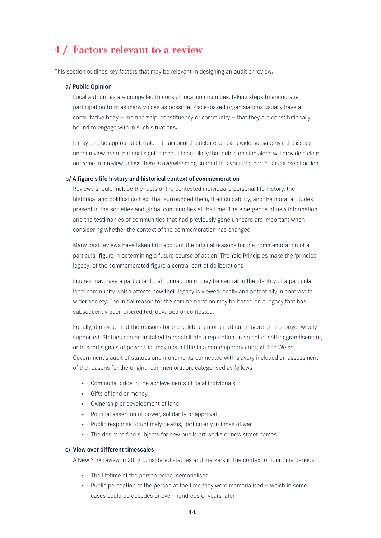# 4 / Factors relevant to a review

This section outlines key factors that may be relevant in designing an audit or review.

#### a/ Public Opinion

 Local authorities are compelled to consult local communities, taking steps to encourage participation from as many voices as possible. Place-based organisiations usually have a consultative body – membership, constituency or community – that they are constitutionally bound to engage with in such situations.

 It may also be appropriate to take into account the debate across a wider geography if the issues under review are of national significance. It is not likely that public opinion alone will provide a clear outcome in a review unless there is overwhelming support in favour of a particular course of action.

### b/ A figure's life history and historical context of commemoration

 Reviews should include the facts of the contested individual's personal life history, the historical and political context that surrounded them, their culpability, and the moral attitudes present in the societies and global communities at the time. The emergence of new information and the testimonies of communities that had previously gone unheard are important when considering whether the context of the commemoration has changed.

 Many past reviews have taken into account the original reasons for the commemoration of a particular figure in determining a future course of action. The Yale Principles make the 'principal legacy' of the commemorated figure a central part of deliberations.

 Figures may have a particular local connection or may be central to the identity of a particular local community which affects how their legacy is viewed locally and potentially in contrast to wider society. The initial reason for the commemoration may be based on a legacy that has subsequently been discredited, devalued or contested.

 Equally, it may be that the reasons for the celebration of a particular figure are no longer widely supported. Statues can be installed to rehabilitate a reputation, in an act of self-aggrandisement, or to send signals of power that may mean little in a contemporary context. The Welsh Government's audit of statues and monuments connected with slavery included an assessment of the reasons for the original commemoration, categorised as follows:

- Communal pride in the achievements of local individuals
- Gifts of land or money
- Ownership or development of land
- Political assertion of power, solidarity or approval
- Public response to untimely deaths, particularly in times of war
- The desire to find subjects for new public art works or new street names

#### c/ View over different timescales

A New York review in 2017 considered statues and markers in the context of four time periods:

- The lifetime of the person being memorialised
- Public perception of the person at the time they were memorialised which in some cases could be decades or even hundreds of years later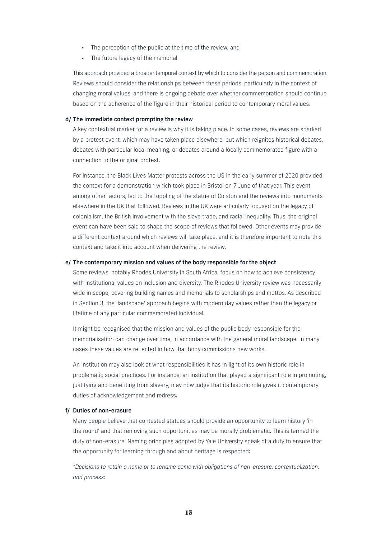- The perception of the public at the time of the review, and
- The future legacy of the memorial

 This approach provided a broader temporal context by which to consider the person and commemoration. Reviews should consider the relationships between these periods, particularly in the context of changing moral values, and there is ongoing debate over whether commemoration should continue based on the adherence of the figure in their historical period to contemporary moral values.

#### d/ The immediate context prompting the review

 A key contextual marker for a review is why it is taking place. In some cases, reviews are sparked by a protest event, which may have taken place elsewhere, but which reignites historical debates, debates with particular local meaning, or debates around a locally commemorated figure with a connection to the original protest.

 For instance, the Black Lives Matter protests across the US in the early summer of 2020 provided the context for a demonstration which took place in Bristol on 7 June of that year. This event, among other factors, led to the toppling of the statue of Colston and the reviews into monuments elsewhere in the UK that followed. Reviews in the UK were articularly focused on the legacy of colonialism, the British involvement with the slave trade, and racial inequality. Thus, the original event can have been said to shape the scope of reviews that followed. Other events may provide a different context around which reviews will take place, and it is therefore important to note this context and take it into account when delivering the review.

#### e/ The contemporary mission and values of the body responsible for the object

 Some reviews, notably Rhodes University in South Africa, focus on how to achieve consistency with institutional values on inclusion and diversity. The Rhodes University review was necessarily wide in scope, covering building names and memorials to scholarships and mottos. As described in Section 3, the 'landscape' approach begins with modern day values rather than the legacy or lifetime of any particular commemorated individual.

 It might be recognised that the mission and values of the public body responsible for the memorialisation can change over time, in accordance with the general moral landscape. In many cases these values are reflected in how that body commissions new works.

 An institution may also look at what responsibilities it has in light of its own historic role in problematic social practices. For instance, an institution that played a significant role in promoting, justifying and benefiting from slavery, may now judge that its historic role gives it contemporary duties of acknowledgement and redress.

# f/ Duties of non-erasure

 Many people believe that contested statues should provide an opportunity to learn history 'in the round' and that removing such opportunities may be morally problematic. This is termed the duty of non-erasure. Naming principles adopted by Yale University speak of a duty to ensure that the opportunity for learning through and about heritage is respected:

 *"Decisions to retain a name or to rename come with obligations of non-erasure, contextualization, and process:*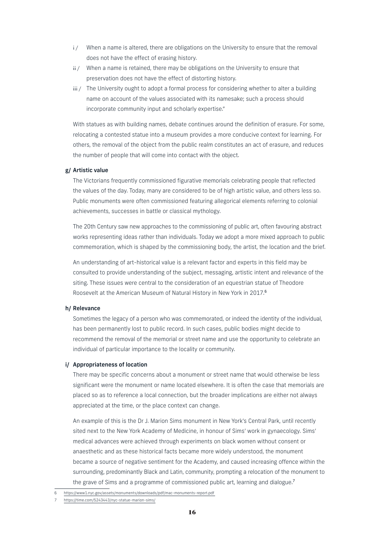- $i /$  When a name is altered, there are obligations on the University to ensure that the removal does not have the effect of erasing history.
- ii / When a name is retained, there may be obligations on the University to ensure that preservation does not have the effect of distorting history.
- iii / The University ought to adopt a formal process for considering whether to alter a building name on account of the values associated with its namesake; such a process should incorporate community input and scholarly expertise."

 With statues as with building names, debate continues around the definition of erasure. For some, relocating a contested statue into a museum provides a more conducive context for learning. For others, the removal of the object from the public realm constitutes an act of erasure, and reduces the number of people that will come into contact with the object.

#### g/ Artistic value

 The Victorians frequently commissioned figurative memorials celebrating people that reflected the values of the day. Today, many are considered to be of high artistic value, and others less so. Public monuments were often commissioned featuring allegorical elements referring to colonial achievements, successes in battle or classical mythology.

 The 20th Century saw new approaches to the commissioning of public art, often favouring abstract works representing ideas rather than individuals. Today we adopt a more mixed approach to public commemoration, which is shaped by the commissioning body, the artist, the location and the brief.

 An understanding of art-historical value is a relevant factor and experts in this field may be consulted to provide understanding of the subject, messaging, artistic intent and relevance of the siting. These issues were central to the consideration of an equestrian statue of Theodore Roosevelt at the American Museum of Natural History in New York in 2017.<sup>6</sup>

#### h/ Relevance

 Sometimes the legacy of a person who was commemorated, or indeed the identity of the individual, has been permanently lost to public record. In such cases, public bodies might decide to recommend the removal of the memorial or street name and use the opportunity to celebrate an individual of particular importance to the locality or community.

#### i/ Appropriateness of location

 There may be specific concerns about a monument or street name that would otherwise be less significant were the monument or name located elsewhere. It is often the case that memorials are placed so as to reference a local connection, but the broader implications are either not always appreciated at the time, or the place context can change.

 An example of this is the Dr J. Marion Sims monument in New York's Central Park, until recently sited next to the New York Academy of Medicine, in honour of Sims' work in gynaecology. Sims' medical advances were achieved through experiments on black women without consent or anaesthetic and as these historical facts became more widely understood, the monument became a source of negative sentiment for the Academy, and caused increasing offence within the surrounding, predominantly Black and Latin, community, prompting a relocation of the monument to the grave of Sims and a programme of commissioned public art, learning and dialogue.<sup>7</sup>

<sup>6</sup> https://www1.nyc.gov/assets/monuments/downloads/pdf/mac-monuments-report.pdf

https://time.com/5243443/nyc-statue-marion-sims/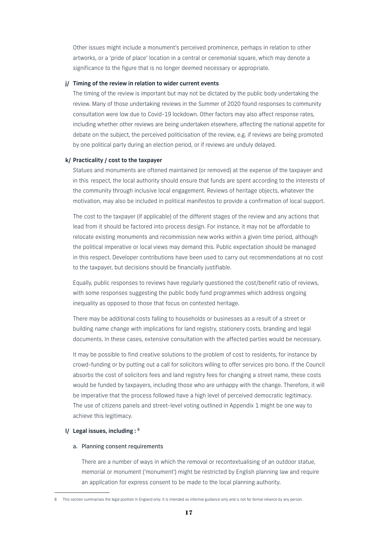Other issues might include a monument's perceived prominence, perhaps in relation to other artworks, or a 'pride of place' location in a central or ceremonial square, which may denote a significance to the figure that is no longer deemed necessary or appropriate.

#### j/ Timing of the review in relation to wider current events

 The timing of the review is important but may not be dictated by the public body undertaking the review. Many of those undertaking reviews in the Summer of 2020 found responses to community consultation were low due to Covid-19 lockdown. Other factors may also affect response rates, including whether other reviews are being undertaken elsewhere, affecting the national appetite for debate on the subject, the perceived politicisation of the review, e.g. if reviews are being promoted by one political party during an election period, or if reviews are unduly delayed.

### k/ Practicality / cost to the taxpayer

 Statues and monuments are oftened maintained (or removed) at the expense of the taxpayer and in this respect, the local authority should ensure that funds are spent according to the interests of the community through inclusive local engagement. Reviews of heritage objects, whatever the motivation, may also be included in political manifestos to provide a confirmation of local support.

 The cost to the taxpayer (if applicable) of the different stages of the review and any actions that lead from it should be factored into process design. For instance, it may not be affordable to relocate existing monuments and recommission new works within a given time period, although the political imperative or local views may demand this. Public expectation should be managed in this respect. Developer contributions have been used to carry out recommendations at no cost to the taxpayer, but decisions should be financially justifiable.

 Equally, public responses to reviews have regularly questioned the cost/benefit ratio of reviews, with some responses suggesting the public body fund programmes which address ongoing inequality as opposed to those that focus on contested heritage.

 There may be additional costs falling to households or businesses as a result of a street or building name change with implications for land registry, stationery costs, branding and legal documents. In these cases, extensive consultation with the affected parties would be necessary.

 It may be possible to find creative solutions to the problem of cost to residents, for instance by crowd-funding or by putting out a call for solicitors willing to offer services pro bono. If the Council absorbs the cost of solicitors fees and land registry fees for changing a street name, these costs would be funded by taxpayers, including those who are unhappy with the change. Therefore, it will be imperative that the process followed have a high level of perceived democratic legitimacy. The use of citizens panels and street-level voting outlined in Appendix 1 might be one way to achieve this legitimacy.

#### I/ Legal issues, including :  $8$

#### a. Planning consent requirements

 There are a number of ways in which the removal or recontextualising of an outdoor statue, memorial or monument ('monument') might be restricted by English planning law and require an application for express consent to be made to the local planning authority.

This section summarises the legal position in England only. It is intended as informal guidance only and is not for formal reliance by any person.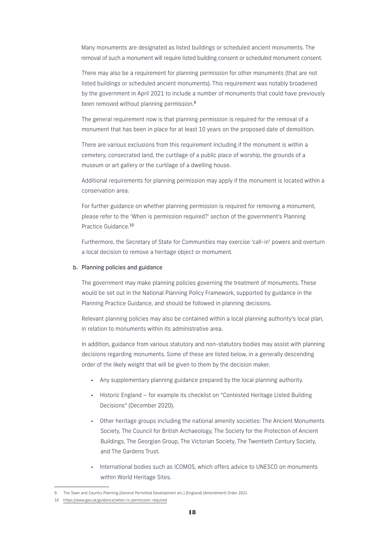Many monuments are designated as listed buildings or scheduled ancient monuments. The removal of such a monument will require listed building consent or scheduled monument consent.

 There may also be a requirement for planning permission for other monuments (that are not listed buildings or scheduled ancient monuments). This requirement was notably broadened by the government in April 2021 to include a number of monuments that could have previously been removed without planning permission.<sup>9</sup>

 The general requirement now is that planning permission is required for the removal of a monument that has been in place for at least 10 years on the proposed date of demolition.

 There are various exclusions from this requirement including if the monument is within a cemetery, consecrated land, the curtilage of a public place of worship, the grounds of a museum or art gallery or the curtilage of a dwelling house.

 Additional requirements for planning permission may apply if the monument is located within a conservation area.

 For further guidance on whether planning permission is required for removing a monument, please refer to the 'When is permission required?' section of the government's Planning Practice Guidance.<sup>10</sup>

 Furthermore, the Secretary of State for Communities may exercise 'call-in' powers and overturn a local decision to remove a heritage object or momument.

#### b. Planning policies and guidance

 The government may make planning policies governing the treatment of monuments. These would be set out in the National Planning Policy Framework, supported by guidance in the Planning Practice Guidance, and should be followed in planning decisions.

 Relevant planning policies may also be contained within a local planning authority's local plan, in relation to monuments within its administrative area.

 In addition, guidance from various statutory and non-statutory bodies may assist with planning decisions regarding monuments. Some of these are listed below, in a generally descending order of the likely weight that will be given to them by the decision maker.

- Any supplementary planning guidance prepared by the local planning authority.
- Historic England for example its checklist on "Contested Heritage Listed Building Decisions" (December 2020).
- Other heritage groups including the national amenity societies: The Ancient Monuments Society, The Council for British Archaeology, The Society for the Protection of Ancient Buildings, The Georgian Group, The Victorian Society, The Twentieth Century Society, and The Gardens Trust.
- International bodies such as ICOMOS, which offers advice to UNESCO on monuments within World Heritage Sites.

<sup>9</sup> The Town and Country Planning (General Permitted Development etc.) (England) (Amendment) Order 2021

<sup>10</sup> https://www.gov.uk/guidance/when-is-permission-required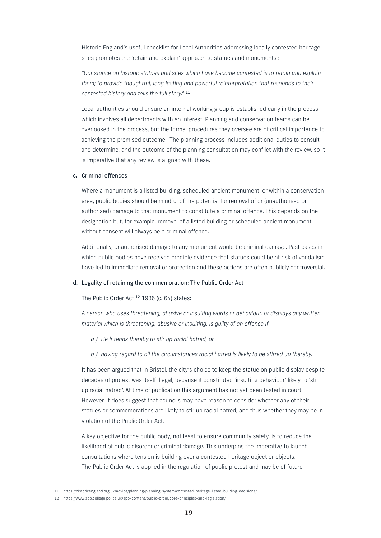Historic England's useful checklist for Local Authorities addressing locally contested heritage sites promotes the 'retain and explain' approach to statues and monuments :

 *"Our stance on historic statues and sites which have become contested is to retain and explain them; to provide thoughtful, long lasting and powerful reinterpretation that responds to their contested history and tells the full story."* <sup>11</sup>

 Local authorities should ensure an internal working group is established early in the process which involves all departments with an interest. Planning and conservation teams can be overlooked in the process, but the formal procedures they oversee are of critical importance to achieving the promised outcome. The planning process includes additional duties to consult and determine, and the outcome of the planning consultation may conflict with the review, so it is imperative that any review is aligned with these.

#### c. Criminal offences

 Where a monument is a listed building, scheduled ancient monument, or within a conservation area, public bodies should be mindful of the potential for removal of or (unauthorised or authorised) damage to that monument to constitute a criminal offence. This depends on the designation but, for example, removal of a listed building or scheduled ancient monument without consent will always be a criminal offence.

 Additionally, unauthorised damage to any monument would be criminal damage. Past cases in which public bodies have received credible evidence that statues could be at risk of vandalism have led to immediate removal or protection and these actions are often publicly controversial.

# d. Legality of retaining the commemoration: The Public Order Act

The Public Order Act <sup>12</sup> 1986 (c. 64) states:

 *A person who uses threatening, abusive or insulting words or behaviour, or displays any written material which is threatening, abusive or insulting, is guilty of an offence if -* 

*a / He intends thereby to stir up racial hatred, or*

 *b / having regard to all the circumstances racial hatred is likely to be stirred up thereby.*

 It has been argued that in Bristol, the city's choice to keep the statue on public display despite decades of protest was itself illegal, because it constituted 'insulting behaviour' likely to 'stir up racial hatred'. At time of publication this argument has not yet been tested in court. However, it does suggest that councils may have reason to consider whether any of their statues or commemorations are likely to stir up racial hatred, and thus whether they may be in violation of the Public Order Act.

 A key objective for the public body, not least to ensure community safety, is to reduce the likelihood of public disorder or criminal damage. This underpins the imperative to launch consultations where tension is building over a contested heritage object or objects. The Public Order Act is applied in the regulation of public protest and may be of future

<sup>11</sup> https://historicengland.org.uk/advice/planning/planning-system/contested-heritage-listed-building-decisions/

<sup>12</sup> https://www.app.college.police.uk/app-content/public-order/core-principles-and-legislation/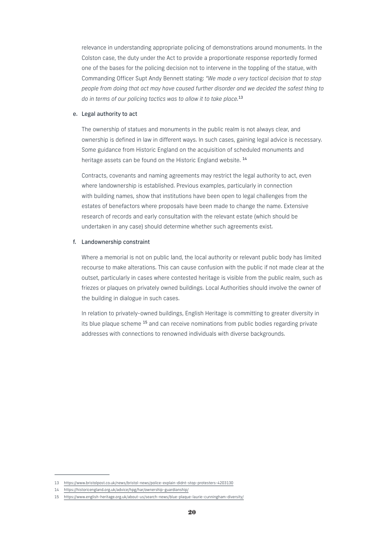relevance in understanding appropriate policing of demonstrations around monuments. In the Colston case, the duty under the Act to provide a proportionate response reportedly formed one of the bases for the policing decision not to intervene in the toppling of the statue, with Commanding Officer Supt Andy Bennett stating: *"We made a very tactical decision that to stop people from doing that act may have caused further disorder and we decided the safest thing to do in terms of our policing tactics was to allow it to take place.*<sup>13</sup>

#### e. Legal authority to act

 The ownership of statues and monuments in the public realm is not always clear, and ownership is defined in law in different ways. In such cases, gaining legal advice is necessary. Some guidance from Historic England on the acquisition of scheduled monuments and heritage assets can be found on the Historic England website.<sup>14</sup>

 Contracts, covenants and naming agreements may restrict the legal authority to act, even where landownership is established. Previous examples, particularly in connection with building names, show that institutions have been open to legal challenges from the estates of benefactors where proposals have been made to change the name. Extensive research of records and early consultation with the relevant estate (which should be undertaken in any case) should determine whether such agreements exist.

#### f. Landownership constraint

 Where a memorial is not on public land, the local authority or relevant public body has limited recourse to make alterations. This can cause confusion with the public if not made clear at the outset, particularly in cases where contested heritage is visible from the public realm, such as friezes or plaques on privately owned buildings. Local Authorities should involve the owner of the building in dialogue in such cases.

 In relation to privately-owned buildings, English Heritage is committing to greater diversity in its blue plaque scheme <sup>15</sup> and can receive nominations from public bodies regarding private addresses with connections to renowned individuals with diverse backgrounds.

<sup>13</sup> https://www.bristolpost.co.uk/news/bristol-news/police-explain-didnt-stop-protesters-4203130

<sup>14</sup> https://historicengland.org.uk/advice/hpg/har/ownership-guardianship/

<sup>15</sup> https://www.english-heritage.org.uk/about-us/search-news/blue-plaque-laurie-cunningham-diversity/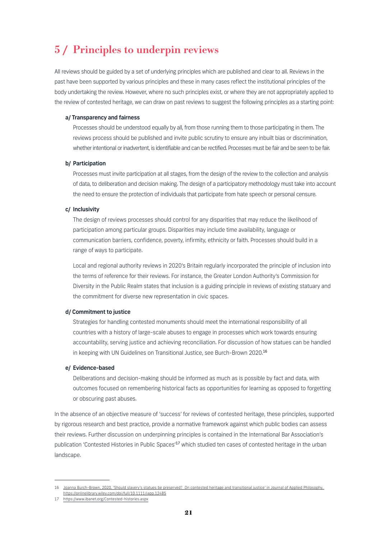# 5 / Principles to underpin reviews

All reviews should be guided by a set of underlying principles which are published and clear to all. Reviews in the past have been supported by various principles and these in many cases reflect the institutional principles of the body undertaking the review. However, where no such principles exist, or where they are not appropriately applied to the review of contested heritage, we can draw on past reviews to suggest the following principles as a starting point:

#### a/ Transparency and fairness

 Processes should be understood equally by all, from those running them to those participating in them. The reviews process should be published and invite public scrutiny to ensure any inbuilt bias or discrimination, whether intentional or inadvertent, is identifiable and can be rectified. Processes must be fair and be seen to be fair.

# b/ Participation

 Processes must invite participation at all stages, from the design of the review to the collection and analysis of data, to deliberation and decision making. The design of a participatory methodology must take into account the need to ensure the protection of individuals that participate from hate speech or personal censure.

#### c/ Inclusivity

 The design of reviews processes should control for any disparities that may reduce the likelihood of participation among particular groups. Disparities may include time availability, language or communication barriers, confidence, poverty, infirmity, ethnicity or faith. Processes should build in a range of ways to participate.

 Local and regional authority reviews in 2020's Britain regularly incorporated the principle of inclusion into the terms of reference for their reviews. For instance, the Greater London Authority's Commission for Diversity in the Public Realm states that inclusion is a guiding principle in reviews of existing statuary and the commitment for diverse new representation in civic spaces.

#### d/ Commitment to justice

 Strategies for handling contested monuments should meet the international responsibility of all countries with a history of large-scale abuses to engage in processes which work towards ensuring accountability, serving justice and achieving reconciliation. For discussion of how statues can be handled in keeping with UN Guidelines on Transitional Justice, see Burch-Brown 2020.<sup>16</sup>

#### e/ Evidence-based

 Deliberations and decision-making should be informed as much as is possible by fact and data, with outcomes focused on remembering historical facts as opportunities for learning as opposed to forgetting or obscuring past abuses.

In the absence of an objective measure of 'success' for reviews of contested heritage, these principles, supported by rigorous research and best practice, provide a normative framework against which public bodies can assess their reviews. Further discussion on underpinning principles is contained in the International Bar Association's publication 'Contested Histories in Public Spaces'<sup>17</sup> which studied ten cases of contested heritage in the urban landscape.

<sup>16</sup> Joanna Burch-Brown, 2020, 'Should slavery's statues be preserved? On contested heritage and transitional justice' in Journal of Applied Philosophy. https://onlinelibrary.wiley.com/doi/full/10.1111/japp.12485

<sup>17</sup> https://www.ibanet.org/Contested-histories.aspx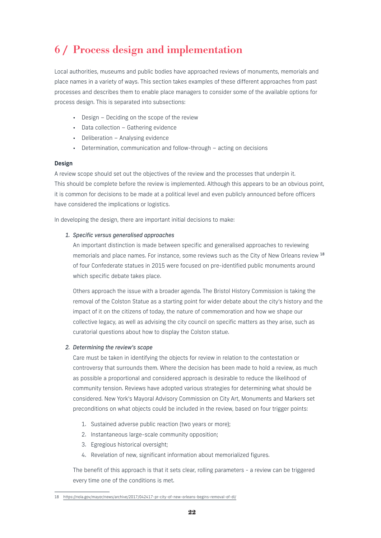# 6 / Process design and implementation

Local authorities, museums and public bodies have approached reviews of monuments, memorials and place names in a variety of ways. This section takes examples of these different approaches from past processes and describes them to enable place managers to consider some of the available options for process design. This is separated into subsections:

- Design Deciding on the scope of the review
- Data collection Gathering evidence
- Deliberation Analysing evidence
- Determination, communication and follow-through acting on decisions

# Design

A review scope should set out the objectives of the review and the processes that underpin it. This should be complete before the review is implemented. Although this appears to be an obvious point, it is common for decisions to be made at a political level and even publicly announced before officers have considered the implications or logistics.

In developing the design, there are important initial decisions to make:

# *1. Specific versus generalised approaches*

 An important distinction is made between specific and generalised approaches to reviewing memorials and place names. For instance, some reviews such as the City of New Orleans review 18 of four Confederate statues in 2015 were focused on pre-identified public monuments around which specific debate takes place.

 Others approach the issue with a broader agenda. The Bristol History Commission is taking the removal of the Colston Statue as a starting point for wider debate about the city's history and the impact of it on the citizens of today, the nature of commemoration and how we shape our collective legacy, as well as advising the city council on specific matters as they arise, such as curatorial questions about how to display the Colston statue.

# *2. Determining the review's scope*

 Care must be taken in identifying the objects for review in relation to the contestation or controversy that surrounds them. Where the decision has been made to hold a review, as much as possible a proportional and considered approach is desirable to reduce the likelihood of community tension. Reviews have adopted various strategies for determining what should be considered. New York's Mayoral Advisory Commission on City Art, Monuments and Markers set preconditions on what objects could be included in the review, based on four trigger points:

- 1. Sustained adverse public reaction (two years or more);
- 2. Instantaneous large-scale community opposition;
- 3. Egregious historical oversight;
- 4. Revelation of new, significant information about memorialized figures.

 The benefit of this approach is that it sets clear, rolling parameters - a review can be triggered every time one of the conditions is met.

<sup>18</sup> https://nola.gov/mayor/news/archive/2017/042417-pr-city-of-new-orleans-begins-removal-of-di/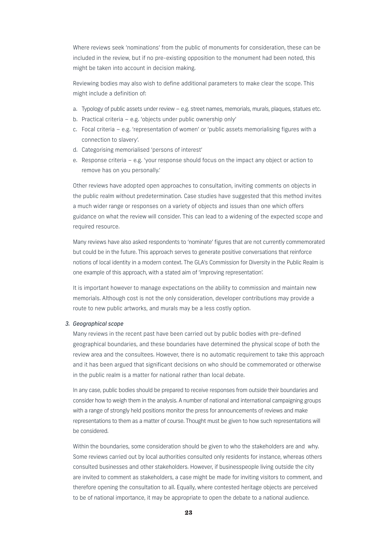Where reviews seek 'nominations' from the public of monuments for consideration, these can be included in the review, but if no pre-existing opposition to the monument had been noted, this might be taken into account in decision making.

 Reviewing bodies may also wish to define additional parameters to make clear the scope. This might include a definition of:

- a. Typology of public assets under review e.g. street names, memorials, murals, plaques, statues etc.
- b. Practical criteria e.g. 'objects under public ownership only'
- c. Focal criteria e.g. 'representation of women' or 'public assets memorialising figures with a connection to slavery'.
- d. Categorising memorialised 'persons of interest'
- e. Response criteria e.g. 'your response should focus on the impact any object or action to remove has on you personally.'

 Other reviews have adopted open approaches to consultation, inviting comments on objects in the public realm without predetermination. Case studies have suggested that this method invites a much wider range or responses on a variety of objects and issues than one which offers guidance on what the review will consider. This can lead to a widening of the expected scope and required resource.

 Many reviews have also asked respondents to 'nominate' figures that are not currently commemorated but could be in the future. This approach serves to generate positive conversations that reinforce notions of local identity in a modern context. The GLA's Commission for Diversity in the Public Realm is one example of this approach, with a stated aim of 'improving representation'.

 It is important however to manage expectations on the ability to commission and maintain new memorials. Although cost is not the only consideration, developer contributions may provide a route to new public artworks, and murals may be a less costly option.

#### *3. Geographical scope*

 Many reviews in the recent past have been carried out by public bodies with pre-defined geographical boundaries, and these boundaries have determined the physical scope of both the review area and the consultees. However, there is no automatic requirement to take this approach and it has been argued that significant decisions on who should be commemorated or otherwise in the public realm is a matter for national rather than local debate.

 In any case, public bodies should be prepared to receive responses from outside their boundaries and consider how to weigh them in the analysis. A number of national and international campaigning groups with a range of strongly held positions monitor the press for announcements of reviews and make representations to them as a matter of course. Thought must be given to how such representations will be considered.

 Within the boundaries, some consideration should be given to who the stakeholders are and why. Some reviews carried out by local authorities consulted only residents for instance, whereas others consulted businesses and other stakeholders. However, if businesspeople living outside the city are invited to comment as stakeholders, a case might be made for inviting visitors to comment, and therefore opening the consultation to all. Equally, where contested heritage objects are perceived to be of national importance, it may be appropriate to open the debate to a national audience.

 $9.3$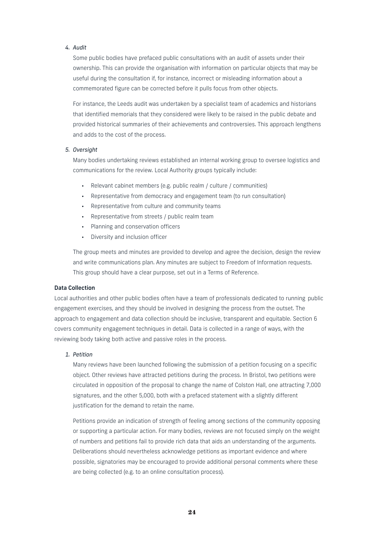# *4. Audit*

 Some public bodies have prefaced public consultations with an audit of assets under their ownership. This can provide the organisation with information on particular objects that may be useful during the consultation if, for instance, incorrect or misleading information about a commemorated figure can be corrected before it pulls focus from other objects.

 For instance, the Leeds audit was undertaken by a specialist team of academics and historians that identified memorials that they considered were likely to be raised in the public debate and provided historical summaries of their achievements and controversies. This approach lengthens and adds to the cost of the process.

# *5. Oversight*

 Many bodies undertaking reviews established an internal working group to oversee logistics and communications for the review. Local Authority groups typically include:

- Relevant cabinet members (e.g. public realm / culture / communities)
- Representative from democracy and engagement team (to run consultation)
- Representative from culture and community teams
- Representative from streets / public realm team
- Planning and conservation officers
- Diversity and inclusion officer

 The group meets and minutes are provided to develop and agree the decision, design the review and write communications plan. Any minutes are subject to Freedom of Information requests. This group should have a clear purpose, set out in a Terms of Reference.

# Data Collection

Local authorities and other public bodies often have a team of professionals dedicated to running public engagement exercises, and they should be involved in designing the process from the outset. The approach to engagement and data collection should be inclusive, transparent and equitable. Section 6 covers community engagement techniques in detail. Data is collected in a range of ways, with the reviewing body taking both active and passive roles in the process.

# *1. Petition*

 Many reviews have been launched following the submission of a petition focusing on a specific object. Other reviews have attracted petitions during the process. In Bristol, two petitions were circulated in opposition of the proposal to change the name of Colston Hall, one attracting 7,000 signatures, and the other 5,000, both with a prefaced statement with a slightly different justification for the demand to retain the name.

 Petitions provide an indication of strength of feeling among sections of the community opposing or supporting a particular action. For many bodies, reviews are not focused simply on the weight of numbers and petitions fail to provide rich data that aids an understanding of the arguments. Deliberations should nevertheless acknowledge petitions as important evidence and where possible, signatories may be encouraged to provide additional personal comments where these are being collected (e.g. to an online consultation process).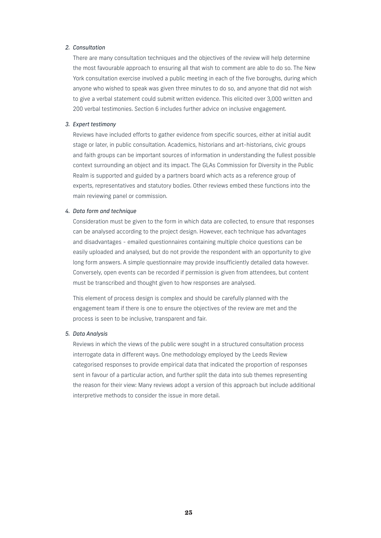# *2. Consultation*

 There are many consultation techniques and the objectives of the review will help determine the most favourable approach to ensuring all that wish to comment are able to do so. The New York consultation exercise involved a public meeting in each of the five boroughs, during which anyone who wished to speak was given three minutes to do so, and anyone that did not wish to give a verbal statement could submit written evidence. This elicited over 3,000 written and 200 verbal testimonies. Section 6 includes further advice on inclusive engagement.

# *3. Expert testimony*

 Reviews have included efforts to gather evidence from specific sources, either at initial audit stage or later, in public consultation. Academics, historians and art-historians, civic groups and faith groups can be important sources of information in understanding the fullest possible context surrounding an object and its impact. The GLAs Commission for Diversity in the Public Realm is supported and guided by a partners board which acts as a reference group of experts, representatives and statutory bodies. Other reviews embed these functions into the main reviewing panel or commission.

#### *4. Data form and technique*

 Consideration must be given to the form in which data are collected, to ensure that responses can be analysed according to the project design. However, each technique has advantages and disadvantages - emailed questionnaires containing multiple choice questions can be easily uploaded and analysed, but do not provide the respondent with an opportunity to give long form answers. A simple questionnaire may provide insufficiently detailed data however. Conversely, open events can be recorded if permission is given from attendees, but content must be transcribed and thought given to how responses are analysed.

 This element of process design is complex and should be carefully planned with the engagement team if there is one to ensure the objectives of the review are met and the process is seen to be inclusive, transparent and fair.

#### *5. Data Analysis*

 Reviews in which the views of the public were sought in a structured consultation process interrogate data in different ways. One methodology employed by the Leeds Review categorised responses to provide empirical data that indicated the proportion of responses sent in favour of a particular action, and further split the data into sub themes representing the reason for their view: Many reviews adopt a version of this approach but include additional interpretive methods to consider the issue in more detail.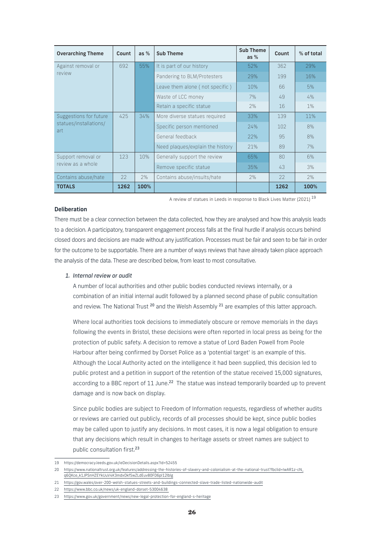| <b>Overarching Theme</b>                                | Count | as $%$ | <b>Sub Theme</b>                 | <b>Sub Theme</b><br>as $%$ | Count | % of total |
|---------------------------------------------------------|-------|--------|----------------------------------|----------------------------|-------|------------|
| Against removal or<br>review                            | 692   | 55%    | It is part of our history        | 52%                        | 362   | 29%        |
|                                                         |       |        | Pandering to BLM/Protesters      | 29%                        | 199   | 16%        |
|                                                         |       |        | Leave them alone (not specific)  | 10%                        | 66    | 5%         |
|                                                         |       |        | Waste of LCC money               | 7%                         | 49    | 4%         |
|                                                         |       |        | Retain a specific statue         | 2%                         | 16    | 1%         |
| Suggestions for future<br>statues/installations/<br>art | 425   | 34%    | More diverse statues required    | 33%                        | 139   | 11%        |
|                                                         |       |        | Specific person mentioned        | 24%                        | 102   | 8%         |
|                                                         |       |        | General feedback                 | 22%                        | 95    | 8%         |
|                                                         |       |        | Need plaques/explain the history | 21%                        | 89    | 7%         |
| Support removal or<br>review as a whole                 | 123   | 10%    | Generally support the review     | 65%                        | 80    | 6%         |
|                                                         |       |        | Remove specific statue           | 35%                        | 43    | 3%         |
| Contains abuse/hate                                     | 22    | 2%     | Contains abuse/insults/hate      | 2%                         | 22    | 2%         |
| <b>TOTALS</b>                                           | 1262  | 100%   |                                  |                            | 1262  | 100%       |

A review of statues in Leeds in response to Black Lives Matter (2021) <sup>19</sup>

### **Deliberation**

There must be a clear connection between the data collected, how they are analysed and how this analysis leads to a decision. A participatory, transparent engagement process falls at the final hurdle if analysis occurs behind closed doors and decisions are made without any justification. Processes must be fair and seen to be fair in order for the outcome to be supportable. There are a number of ways reviews that have already taken place approach the analysis of the data. These are described below, from least to most consultative.

# *1. Internal review or audit*

 A number of local authorities and other public bodies conducted reviews internally, or a combination of an initial internal audit followed by a planned second phase of public consultation and review. The National Trust <sup>20</sup> and the Welsh Assembly <sup>21</sup> are examples of this latter approach.

 Where local authorities took decisions to immediately obscure or remove memorials in the days following the events in Bristol, these decisions were often reported in local press as being for the protection of public safety. A decision to remove a statue of Lord Baden Powell from Poole Harbour after being confirmed by Dorset Police as a 'potential target' is an example of this. Although the Local Authority acted on the intelligence it had been supplied, this decision led to public protest and a petition in support of the retention of the statue received 15,000 signatures, according to a BBC report of 11 June.<sup>22</sup> The statue was instead temporarily boarded up to prevent damage and is now back on display.

 Since public bodies are subject to Freedom of Information requests, regardless of whether audits or reviews are carried out publicly, records of all processes should be kept, since public bodies may be called upon to justify any decisions. In most cases, it is now a legal obligation to ensure that any decisions which result in changes to heritage assets or street names are subject to public consultation first.<sup>23</sup>

- 20 https://www.nationaltrust.org.uk/features/addressing-the-histories-of-slavery-and-colonialism-at-the-national-trust?fbclid=IwAR1z-cN\_ q6QKce\_k1JPSnHZEYkUuV4K3mdxOkfSwZLdEuv80FD6pI12lblg
- 21 https://gov.wales/over-200-welsh-statues-streets-and-buildings-connected-slave-trade-listed-nationwide-audit

<sup>19</sup> https://democracy.leeds.gov.uk/ieDecisionDetails.aspx?Id=52455

<sup>22</sup> https://www.bbc.co.uk/news/uk-england-dorset-53004638

<sup>23</sup> https://www.gov.uk/government/news/new-legal-protection-for-england-s-heritage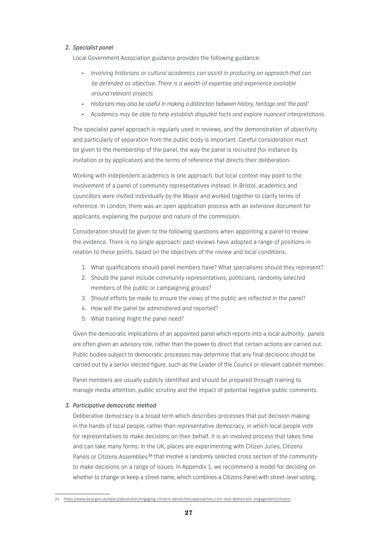# *2. Specialist panel*

Local Government Association guidance provides the following guidance:

- *• Involving historians or cultural academics can assist in producing an approach that can be defended as objective. There is a wealth of expertise and experience available around relevant projects*
- *• Historians may also be useful in making a distinction between history, heritage and 'the past'*
- *• Academics may be able to help establish disputed facts and explore nuanced interpretations.*

 The specialist panel approach is regularly used in reviews, and the demonstration of objectivity and particularly of separation from the public body is important. Careful consideration must be given to the membership of the panel, the way the panel is recruited (for instance by invitation or by application) and the terms of reference that directs their deliberation.

 Working with independent academics is one approach, but local context may point to the involvement of a panel of community representatives instead. In Bristol, academics and councillors were invited individually by the Mayor and worked together to clarify terms of reference. In London, there was an open application process with an extensive document for applicants, explaining the purpose and nature of the commission.

 Consideration should be given to the following questions when appointing a panel to review the evidence. There is no single approach: past reviews have adopted a range of positions in relation to these points, based on the objectives of the review and local conditions.

- 1. What qualifications should panel members have? What specialisms should they represent?
- 2. Should the panel include community representatives, politicians, randomly selected members of the public or campaigning groups?
- 3. Should efforts be made to ensure the views of the public are reflected in the panel?
- 4. How will the panel be administered and reported?
- 5. What training might the panel need?

 Given the democratic implications of an appointed panel which reports into a local authority, panels are often given an advisory role, rather than the power to direct that certain actions are carried out. Public bodies subject to democratic processes may determine that any final decisions should be carried out by a senior elected figure, such as the Leader of the Council or relevant cabinet member.

 Panel members are usually publicly identified and should be prepared through training to manage media attention, public scrutiny and the impact of potential negative public comments.

# *3. Participative democratic method*

 Deliberative democracy is a broad term which describes processes that put decision making in the hands of local people, rather than representative democracy, in which local people vote for representatives to make decisions on their behalf. It is an involved process that takes time and can take many forms. In the UK, places are experimenting with Citizen Juries, Citizens Panels or Citizens Assemblies<sup>24</sup> that involve a randomly selected cross section of the community to make decisions on a range of issues. In Appendix 1, we recommend a model for deciding on whether to change or keep a street name, which combines a Citizens Panel with street-level voting.

<sup>24</sup> https://www.local.gov.uk/topics/devolution/engaging-citizens-devolution/approaches-civic-and-democratic-engagement/citizens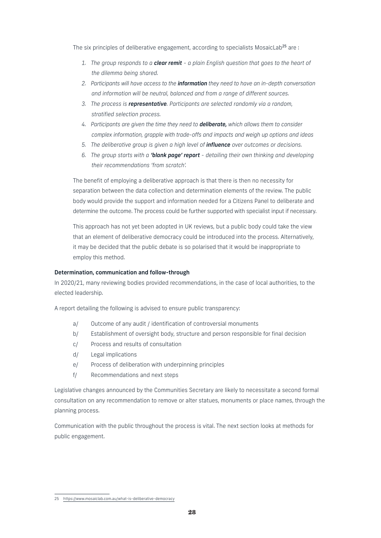The six principles of deliberative engagement, according to specialists MosaicLab<sup>25</sup> are :

- *1. The group responds to a clear remit a plain English question that goes to the heart of the dilemma being shared.*
- *2. Participants will have access to the information they need to have an in-depth conversation and information will be neutral, balanced and from a range of different sources.*
- *3. The process is representative. Participants are selected randomly via a random, stratified selection process.*
- *4. Participants are given the time they need to deliberate, which allows them to consider complex information, grapple with trade-offs and impacts and weigh up options and ideas*
- *5. The deliberative group is given a high level of influence over outcomes or decisions.*
- *6. The group starts with a 'blank page' report detailing their own thinking and developing their recommendations 'from scratch'.*

 The benefit of employing a deliberative approach is that there is then no necessity for separation between the data collection and determination elements of the review. The public body would provide the support and information needed for a Citizens Panel to deliberate and determine the outcome. The process could be further supported with specialist input if necessary.

 This approach has not yet been adopted in UK reviews, but a public body could take the view that an element of deliberative democracy could be introduced into the process. Alternatively, it may be decided that the public debate is so polarised that it would be inappropriate to employ this method.

# Determination, communication and follow-through

In 2020/21, many reviewing bodies provided recommendations, in the case of local authorities, to the elected leadership.

A report detailing the following is advised to ensure public transparency:

- a/ Outcome of any audit / identification of controversial monuments
- b/ Establishment of oversight body, structure and person responsible for final decision
- c/ Process and results of consultation
- d/ Legal implications
- e/ Process of deliberation with underpinning principles
- f/ Recommendations and next steps

Legislative changes announced by the Communities Secretary are likely to necessitate a second formal consultation on any recommendation to remove or alter statues, monuments or place names, through the planning process.

Communication with the public throughout the process is vital. The next section looks at methods for public engagement.

<sup>25</sup> https://www.mosaiclab.com.au/what-is-deliberative-democracy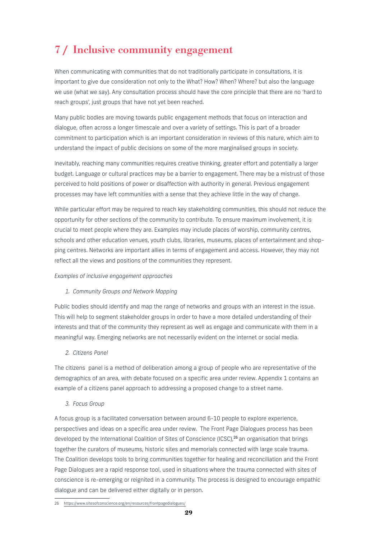# 7 / Inclusive community engagement

When communicating with communities that do not traditionally participate in consultations, it is important to give due consideration not only to the What? How? When? Where? but also the language we use (what we say). Any consultation process should have the core principle that there are no 'hard to reach groups', just groups that have not yet been reached.

Many public bodies are moving towards public engagement methods that focus on interaction and dialogue, often across a longer timescale and over a variety of settings. This is part of a broader commitment to participation which is an important consideration in reviews of this nature, which aim to understand the impact of public decisions on some of the more marginalised groups in society.

Inevitably, reaching many communities requires creative thinking, greater effort and potentially a larger budget. Language or cultural practices may be a barrier to engagement. There may be a mistrust of those perceived to hold positions of power or disaffection with authority in general. Previous engagement processes may have left communities with a sense that they achieve little in the way of change.

While particular effort may be required to reach key stakeholding communities, this should not reduce the opportunity for other sections of the community to contribute. To ensure maximum involvement, it is crucial to meet people where they are. Examples may include places of worship, community centres, schools and other education venues, youth clubs, libraries, museums, places of entertainment and shopping centres. Networks are important allies in terms of engagement and access. However, they may not reflect all the views and positions of the communities they represent.

# *Examples of inclusive engagement approaches*

*1. Community Groups and Network Mapping*

Public bodies should identify and map the range of networks and groups with an interest in the issue. This will help to segment stakeholder groups in order to have a more detailed understanding of their interests and that of the community they represent as well as engage and communicate with them in a meaningful way. Emerging networks are not necessarily evident on the internet or social media.

*2. Citizens Panel*

The citizens panel is a method of deliberation among a group of people who are representative of the demographics of an area, with debate focused on a specific area under review. Appendix 1 contains an example of a citizens panel approach to addressing a proposed change to a street name.

# *3. Focus Group*

A focus group is a facilitated conversation between around 6-10 people to explore experience, perspectives and ideas on a specific area under review. The Front Page Dialogues process has been developed by the International Coalition of Sites of Conscience (ICSC),<sup>26</sup> an organisation that brings together the curators of museums, historic sites and memorials connected with large scale trauma. The Coalition develops tools to bring communities together for healing and reconciliation and the Front Page Dialogues are a rapid response tool, used in situations where the trauma connected with sites of conscience is re-emerging or reignited in a community. The process is designed to encourage empathic dialogue and can be delivered either digitally or in person.

<sup>26</sup> https://www.sitesofconscience.org/en/resources/frontpagedialogues/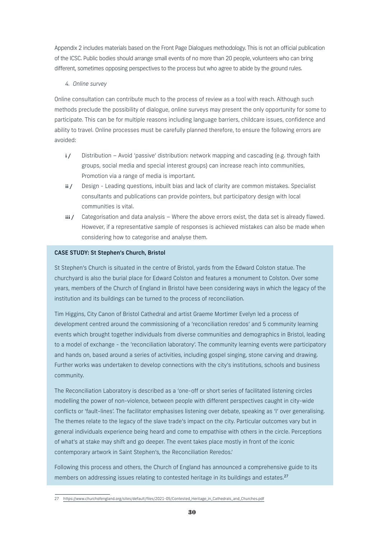Appendix 2 includes materials based on the Front Page Dialogues methodology. This is not an official publication of the ICSC. Public bodies should arrange small events of no more than 20 people, volunteers who can bring different, sometimes opposing perspectives to the process but who agree to abide by the ground rules.

# *4. Online survey*

Online consultation can contribute much to the process of review as a tool with reach. Although such methods preclude the possibility of dialogue, online surveys may present the only opportunity for some to participate. This can be for multiple reasons including language barriers, childcare issues, confidence and ability to travel. Online processes must be carefully planned therefore, to ensure the following errors are avoided:

- i / Distribution Avoid 'passive' distribution: network mapping and cascading (e.g. through faith groups, social media and special interest groups) can increase reach into communities, Promotion via a range of media is important.
- ii / Design Leading questions, inbuilt bias and lack of clarity are common mistakes. Specialist consultants and publications can provide pointers, but participatory design with local communities is vital.
- iii / Categorisation and data analysis Where the above errors exist, the data set is already flawed. However, if a representative sample of responses is achieved mistakes can also be made when considering how to categorise and analyse them.

# CASE STUDY: St Stephen's Church, Bristol

St Stephen's Church is situated in the centre of Bristol, yards from the Edward Colston statue. The churchyard is also the burial place for Edward Colston and features a monument to Colston. Over some years, members of the Church of England in Bristol have been considering ways in which the legacy of the institution and its buildings can be turned to the process of reconciliation.

Tim Higgins, City Canon of Bristol Cathedral and artist Graeme Mortimer Evelyn led a process of development centred around the commissioning of a 'reconciliation reredos' and 5 community learning events which brought together individuals from diverse communities and demographics in Bristol, leading to a model of exchange - the 'reconciliation laboratory'. The community learning events were participatory and hands on, based around a series of activities, including gospel singing, stone carving and drawing. Further works was undertaken to develop connections with the city's institutions, schools and business community.

The Reconciliation Laboratory is described as a 'one-off or short series of facilitated listening circles modelling the power of non-violence, between people with different perspectives caught in city-wide conflicts or 'fault-lines'. The facilitator emphasises listening over debate, speaking as 'I' over generalising. The themes relate to the legacy of the slave trade's impact on the city. Particular outcomes vary but in general individuals experience being heard and come to empathise with others in the circle. Perceptions of what's at stake may shift and go deeper. The event takes place mostly in front of the iconic contemporary artwork in Saint Stephen's, the Reconciliation Reredos.'

Following this process and others, the Church of England has announced a comprehensive guide to its members on addressing issues relating to contested heritage in its buildings and estates.<sup>27</sup>

<sup>27</sup> https://www.churchofengland.org/sites/default/files/2021-05/Contested\_Heritage\_in\_Cathedrals\_and\_Churches.pdf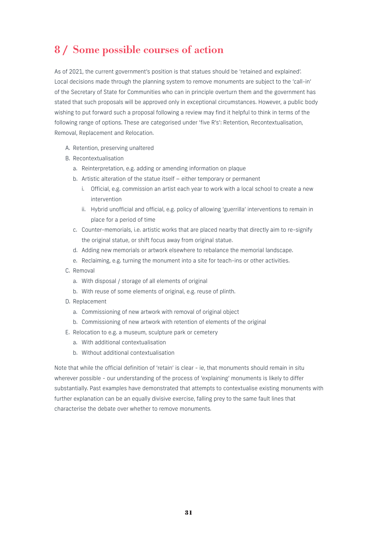# 8 / Some possible courses of action

As of 2021, the current government's position is that statues should be 'retained and explained'. Local decisions made through the planning system to remove monuments are subject to the 'call-in' of the Secretary of State for Communities who can in principle overturn them and the government has stated that such proposals will be approved only in exceptional circumstances. However, a public body wishing to put forward such a proposal following a review may find it helpful to think in terms of the following range of options. These are categorised under 'five R's': Retention, Recontextualisation, Removal, Replacement and Relocation.

- A. Retention, preserving unaltered
- B. Recontextualisation
	- a. Reinterpretation, e.g. adding or amending information on plaque
	- b. Artistic alteration of the statue itself either temporary or permanent
		- i. Official, e.g. commission an artist each year to work with a local school to create a new intervention
		- ii. Hybrid unofficial and official, e.g. policy of allowing 'guerrilla' interventions to remain in place for a period of time
	- c. Counter-memorials, i.e. artistic works that are placed nearby that directly aim to re-signify the original statue, or shift focus away from original statue.
	- d. Adding new memorials or artwork elsewhere to rebalance the memorial landscape.
	- e. Reclaiming, e.g. turning the monument into a site for teach-ins or other activities.
- C. Removal
	- a. With disposal / storage of all elements of original
	- b. With reuse of some elements of original, e.g. reuse of plinth.
- D. Replacement
	- a. Commissioning of new artwork with removal of original object
	- b. Commissioning of new artwork with retention of elements of the original
- E. Relocation to e.g. a museum, sculpture park or cemetery
	- a. With additional contextualisation
	- b. Without additional contextualisation

Note that while the official definition of 'retain' is clear - ie, that monuments should remain in situ wherever possible - our understanding of the process of 'explaining' monuments is likely to differ substantially. Past examples have demonstrated that attempts to contextualise existing monuments with further explanation can be an equally divisive exercise, falling prey to the same fault lines that characterise the debate over whether to remove monuments.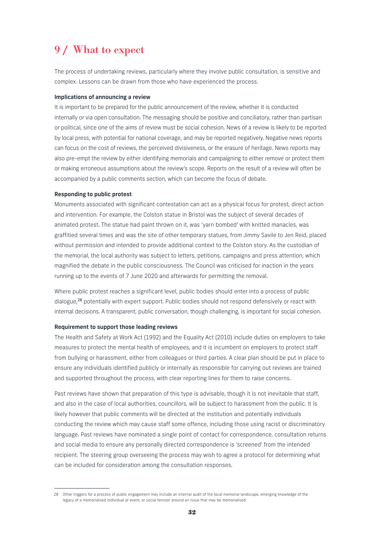# 9 / What to expect

The process of undertaking reviews, particularly where they involve public consultation, is sensitive and complex. Lessons can be drawn from those who have experienced the process.

#### Implications of announcing a review

It is important to be prepared for the public announcement of the review, whether it is conducted internally or via open consultation. The messaging should be positive and conciliatory, rather than partisan or political, since one of the aims of review must be social cohesion. News of a review is likely to be reported by local press, with potential for national coverage, and may be reported negatively. Negative news reports can focus on the cost of reviews, the perceived divisiveness, or the erasure of heritage. News reports may also pre-empt the review by either identifying memorials and campaigning to either remove or protect them or making erroneous assumptions about the review's scope. Reports on the result of a review will often be accompanied by a public comments section, which can become the focus of debate.

#### Responding to public protest

Monuments associated with significant contestation can act as a physical focus for protest, direct action and intervention. For example, the Colston statue in Bristol was the subject of several decades of animated protest. The statue had paint thrown on it, was 'yarn bombed' with knitted manacles, was graffitied several times and was the site of other temporary statues, from Jimmy Savile to Jen Reid, placed without permission and intended to provide additional context to the Colston story. As the custodian of the memorial, the local authority was subject to letters, petitions, campaigns and press attention, which magnified the debate in the public consciousness. The Council was criticised for inaction in the years running up to the events of 7 June 2020 and afterwards for permitting the removal.

Where public protest reaches a significant level, public bodies should enter into a process of public dialogue,<sup>28</sup> potentially with expert support. Public bodies should not respond defensively or react with internal decisions. A transparent, public conversation, though challenging, is important for social cohesion.

# Requirement to support those leading reviews

The Health and Safety at Work Act (1992) and the Equality Act (2010) include duties on employers to take measures to protect the mental health of employees, and it is incumbent on employers to protect staff from bullying or harassment, either from colleagues or third parties. A clear plan should be put in place to ensure any individuals identified publicly or internally as responsible for carrying out reviews are trained and supported throughout the process, with clear reporting lines for them to raise concerns.

Past reviews have shown that preparation of this type is advisable, though it is not inevitable that staff, and also in the case of local authorities, councillors, will be subject to harassment from the public. It is likely however that public comments will be directed at the institution and potentially individuals conducting the review which may cause staff some offence, including those using racist or discriminatory language. Past reviews have nominated a single point of contact for correspondence, consultation returns and social media to ensure any personally directed correspondence is 'screened' from the intended recipient. The steering group overseeing the process may wish to agree a protocol for determining what can be included for consideration among the consultation responses.

<sup>28</sup> Other triggers for a process of public engagement may include an internal audit of the local memorial landscape, emerging knowledge of the legacy of a memorialised individual or event, or social tension around an issue that may be memorialised.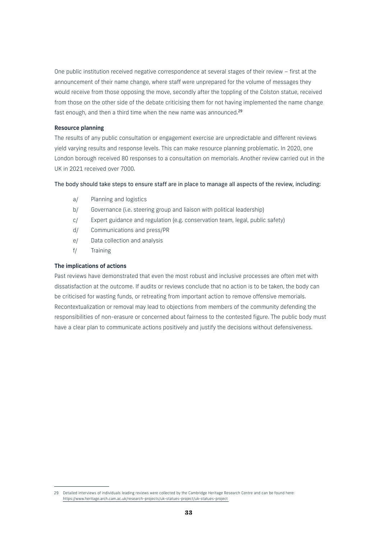One public institution received negative correspondence at several stages of their review – first at the announcement of their name change, where staff were unprepared for the volume of messages they would receive from those opposing the move, secondly after the toppling of the Colston statue, received from those on the other side of the debate criticising them for not having implemented the name change fast enough, and then a third time when the new name was announced.<sup>29</sup>

### Resource planning

The results of any public consultation or engagement exercise are unpredictable and different reviews yield varying results and response levels. This can make resource planning problematic. In 2020, one London borough received 80 responses to a consultation on memorials. Another review carried out in the UK in 2021 received over 7000.

#### The body should take steps to ensure staff are in place to manage all aspects of the review, including:

- a/ Planning and logistics
- b/ Governance (i.e. steering group and liaison with political leadership)
- c/ Expert guidance and regulation (e.g. conservation team, legal, public safety)
- d/ Communications and press/PR
- e/ Data collection and analysis
- f/ Training

### The implications of actions

Past reviews have demonstrated that even the most robust and inclusive processes are often met with dissatisfaction at the outcome. If audits or reviews conclude that no action is to be taken, the body can be criticised for wasting funds, or retreating from important action to remove offensive memorials. Recontextualization or removal may lead to objections from members of the community defending the responsibilities of non-erasure or concerned about fairness to the contested figure. The public body must have a clear plan to communicate actions positively and justify the decisions without defensiveness.

<sup>29</sup> Detailed interviews of individuals leading reviews were collected by the Cambridge Heritage Research Centre and can be found here: https://www.heritage.arch.cam.ac.uk/research-projects/uk-statues-project/uk-statues-project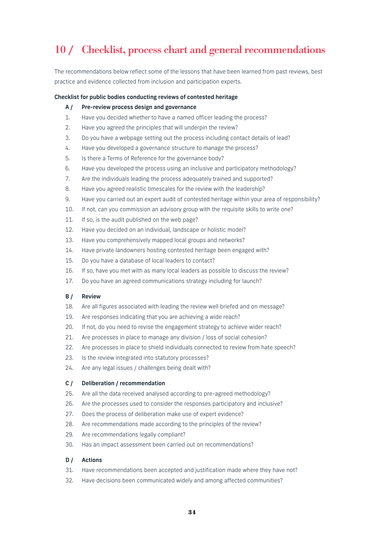# 10 / Checklist, process chart and general recommendations

The recommendations below reflect some of the lessons that have been learned from past reviews, best practice and evidence collected from inclusion and participation experts. Î

### Checklist for public bodies conducting reviews of contested heritage

#### A / Pre-review process design and governance

- 1. Have you decided whether to have a named officer leading the process?
- 2. Have you agreed the principles that will underpin the review?
- 3. Do you have a webpage setting out the process including contact details of lead?
- 4. Have you developed a governance structure to manage the process?
- 5. Is there a Terms of Reference for the governance body?
- 6. Have you developed the process using an inclusive and participatory methodology?
- 7. Are the individuals leading the process adequately trained and supported?
- 8. Have you agreed realistic timescales for the review with the leadership?
- 9. Have you carried out an expert audit of contested heritage within your area of responsibility?
- 10. If not, can you commission an advisory group with the requisite skills to write one?
- 11. If so, is the audit published on the web page?
- 12. Have you decided on an individual, landscape or holistic model?
- 13. Have you comprehensively mapped local groups and networks?
- 14. Have private landowners hosting contested heritage been engaged with?
- 15. Do you have a database of local leaders to contact?
- 16. If so, have you met with as many local leaders as possible to discuss the review?
- 17. Do you have an agreed communications strategy including for launch?

#### B / Review

- 18. Are all figures associated with leading the review well briefed and on message?
- 19. Are responses indicating that you are achieving a wide reach?
- 20. If not, do you need to revise the engagement strategy to achieve wider reach?
- 21. Are processes in place to manage any division / loss of social cohesion?
- 22. Are processes in place to shield individuals connected to review from hate speech?
- 23. Is the review integrated into statutory processes?
- 24. Are any legal issues / challenges being dealt with?

#### C / Deliberation / recommendation

- 25. Are all the data received analysed according to pre-agreed methodology?
- 26. Are the processes used to consider the responses participatory and inclusive?
- 27. Does the process of deliberation make use of expert evidence?
- 28. Are recommendations made according to the principles of the review?
- 29. Are recommendations legally compliant?
- 30. Has an impact assessment been carried out on recommendations?

#### D / Actions

- 31. Have recommendations been accepted and justification made where they have not?
- 32. Have decisions been communicated widely and among affected communities?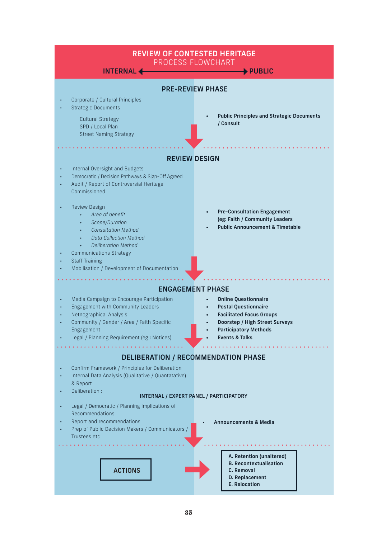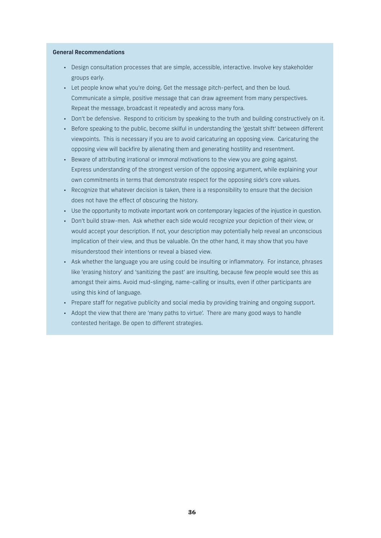#### General Recommendations

- Design consultation processes that are simple, accessible, interactive. Involve key stakeholder groups early.
- Let people know what you're doing. Get the message pitch-perfect, and then be loud. Communicate a simple, positive message that can draw agreement from many perspectives. Repeat the message, broadcast it repeatedly and across many fora.
- Don't be defensive. Respond to criticism by speaking to the truth and building constructively on it.
- Before speaking to the public, become skilful in understanding the 'gestalt shift' between different viewpoints. This is necessary if you are to avoid caricaturing an opposing view. Caricaturing the opposing view will backfire by alienating them and generating hostility and resentment.
- Beware of attributing irrational or immoral motivations to the view you are going against. Express understanding of the strongest version of the opposing argument, while explaining your own commitments in terms that demonstrate respect for the opposing side's core values.
- Recognize that whatever decision is taken, there is a responsibility to ensure that the decision does not have the effect of obscuring the history.
- Use the opportunity to motivate important work on contemporary legacies of the injustice in question.
- Don't build straw-men. Ask whether each side would recognize your depiction of their view, or would accept your description. If not, your description may potentially help reveal an unconscious implication of their view, and thus be valuable. On the other hand, it may show that you have misunderstood their intentions or reveal a biased view.
- Ask whether the language you are using could be insulting or inflammatory. For instance, phrases like 'erasing history' and 'sanitizing the past' are insulting, because few people would see this as amongst their aims. Avoid mud-slinging, name-calling or insults, even if other participants are using this kind of language.
- Prepare staff for negative publicity and social media by providing training and ongoing support.
- Adopt the view that there are 'many paths to virtue'. There are many good ways to handle contested heritage. Be open to different strategies.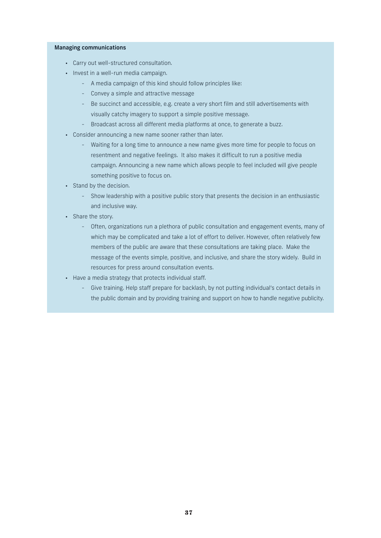#### Managing communications

- Carry out well-structured consultation.
- Invest in a well-run media campaign.
	- A media campaign of this kind should follow principles like:
	- Convey a simple and attractive message
	- Be succinct and accessible, e.g. create a very short film and still advertisements with visually catchy imagery to support a simple positive message.
	- Broadcast across all different media platforms at once, to generate a buzz.
- Consider announcing a new name sooner rather than later.
	- Waiting for a long time to announce a new name gives more time for people to focus on resentment and negative feelings. It also makes it difficult to run a positive media campaign. Announcing a new name which allows people to feel included will give people something positive to focus on.
- Stand by the decision.
	- Show leadership with a positive public story that presents the decision in an enthusiastic and inclusive way.
- Share the story.
	- Often, organizations run a plethora of public consultation and engagement events, many of which may be complicated and take a lot of effort to deliver. However, often relatively few members of the public are aware that these consultations are taking place. Make the message of the events simple, positive, and inclusive, and share the story widely. Build in resources for press around consultation events.
- Have a media strategy that protects individual staff.
	- Give training. Help staff prepare for backlash, by not putting individual's contact details in the public domain and by providing training and support on how to handle negative publicity.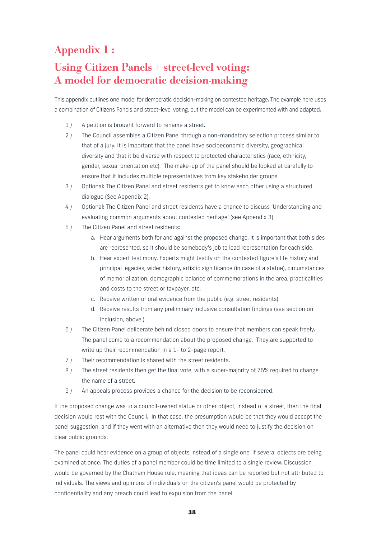# Appendix 1 :

# Using Citizen Panels + street-level voting: A model for democratic decision-making

This appendix outlines one model for democratic decision-making on contested heritage. The example here uses a combination of Citizens Panels and street-level voting, but the model can be experimented with and adapted.

- 1 / A petition is brought forward to rename a street.
- 2 / The Council assembles a Citizen Panel through a non-mandatory selection process similar to that of a jury. It is important that the panel have socioeconomic diversity, geographical diversity and that it be diverse with respect to protected characteristics (race, ethnicity, gender, sexual orientation etc). The make-up of the panel should be looked at carefully to ensure that it includes multiple representatives from key stakeholder groups.
- 3 / Optional: The Citizen Panel and street residents get to know each other using a structured dialogue (See Appendix 2).
- 4 / Optional: The Citizen Panel and street residents have a chance to discuss 'Understanding and evaluating common arguments about contested heritage' (see Appendix 3)
- 5 / The Citizen Panel and street residents:
	- a. Hear arguments both for and against the proposed change. It is important that both sides are represented, so it should be somebody's job to lead representation for each side.
	- b. Hear expert testimony. Experts might testify on the contested figure's life history and principal legacies, wider history, artistic significance (in case of a statue), circumstances of memorialization, demographic balance of commemorations in the area, practicalities and costs to the street or taxpayer, etc.
	- c. Receive written or oral evidence from the public (e.g. street residents).
	- d. Receive results from any preliminary inclusive consultation findings (see section on Inclusion, above.)
- 6 / The Citizen Panel deliberate behind closed doors to ensure that members can speak freely. The panel come to a recommendation about the proposed change. They are supported to write up their recommendation in a 1- to 2-page report.
- 7 / Their recommendation is shared with the street residents.
- 8 / The street residents then get the final vote, with a super-majority of 75% required to change the name of a street.
- 9 / An appeals process provides a chance for the decision to be reconsidered.

If the proposed change was to a council-owned statue or other object, instead of a street, then the final decision would rest with the Council. In that case, the presumption would be that they would accept the panel suggestion, and if they went with an alternative then they would need to justify the decision on clear public grounds.

The panel could hear evidence on a group of objects instead of a single one, if several objects are being examined at once. The duties of a panel member could be time limited to a single review. Discussion would be governed by the Chatham House rule, meaning that ideas can be reported but not attributed to individuals. The views and opinions of individuals on the citizen's panel would be protected by confidentiality and any breach could lead to expulsion from the panel.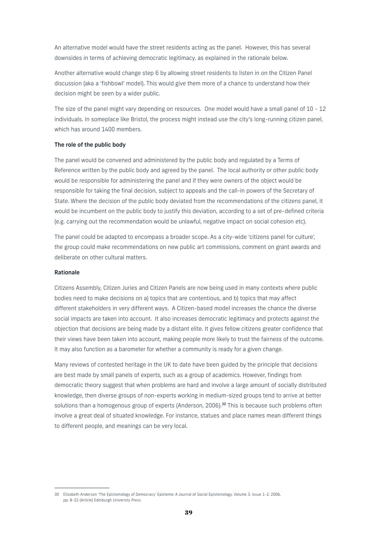An alternative model would have the street residents acting as the panel. However, this has several downsides in terms of achieving democratic legitimacy, as explained in the rationale below.

Another alternative would change step 6 by allowing street residents to listen in on the Citizen Panel discussion (aka a 'fishbowl' model). This would give them more of a chance to understand how their decision might be seen by a wider public.

The size of the panel might vary depending on resources. One model would have a small panel of 10 - 12 individuals. In someplace like Bristol, the process might instead use the city's long-running citizen panel, which has around 1400 members.

#### The role of the public body

The panel would be convened and administered by the public body and regulated by a Terms of Reference written by the public body and agreed by the panel. The local authority or other public body would be responsible for administering the panel and if they were owners of the object would be responsible for taking the final decision, subject to appeals and the call-in powers of the Secretary of State. Where the decision of the public body deviated from the recommendations of the citizens panel, it would be incumbent on the public body to justify this deviation, according to a set of pre-defined criteria (e.g. carrying out the recommendation would be unlawful, negative impact on social cohesion etc).

The panel could be adapted to encompass a broader scope. As a city-wide 'citizens panel for culture', the group could make recommendations on new public art commissions, comment on grant awards and deliberate on other cultural matters.

#### Rationale

Citizens Assembly, Citizen Juries and Citizen Panels are now being used in many contexts where public bodies need to make decisions on a) topics that are contentious, and b) topics that may affect different stakeholders in very different ways. A Citizen-based model increases the chance the diverse social impacts are taken into account. It also increases democratic legitimacy and protects against the objection that decisions are being made by a distant elite. It gives fellow citizens greater confidence that their views have been taken into account, making people more likely to trust the fairness of the outcome. It may also function as a barometer for whether a community is ready for a given change.

Many reviews of contested heritage in the UK to date have been guided by the principle that decisions are best made by small panels of experts, such as a group of academics. However, findings from democratic theory suggest that when problems are hard and involve a large amount of socially distributed knowledge, then diverse groups of non-experts working in medium-sized groups tend to arrive at better solutions than a homogenous group of experts (Anderson, 2006).<sup>30</sup> This is because such problems often involve a great deal of situated knowledge. For instance, statues and place names mean different things to different people, and meanings can be very local.

<sup>30</sup> Elizabeth Anderson 'The Epistomology of Democracy' Episteme: A Journal of Social Epistemology, Volume 3, Issue 1-2, 2006, pp. 8-22 (Article) Edinburgh University Press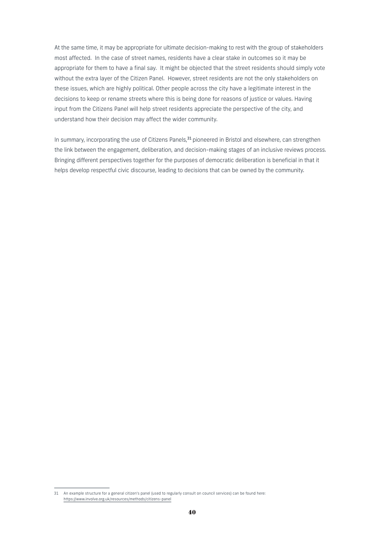At the same time, it may be appropriate for ultimate decision-making to rest with the group of stakeholders most affected. In the case of street names, residents have a clear stake in outcomes so it may be appropriate for them to have a final say. It might be objected that the street residents should simply vote without the extra layer of the Citizen Panel. However, street residents are not the only stakeholders on these issues, which are highly political. Other people across the city have a legitimate interest in the decisions to keep or rename streets where this is being done for reasons of justice or values. Having input from the Citizens Panel will help street residents appreciate the perspective of the city, and understand how their decision may affect the wider community.

In summary, incorporating the use of Citizens Panels,<sup>31</sup> pioneered in Bristol and elsewhere, can strengthen the link between the engagement, deliberation, and decision-making stages of an inclusive reviews process. Bringing different perspectives together for the purposes of democratic deliberation is beneficial in that it helps develop respectful civic discourse, leading to decisions that can be owned by the community.

<sup>31</sup> An example structure for a general citizen's panel (used to regularly consult on council services) can be found here: https://www.involve.org.uk/resources/methods/citizens-panel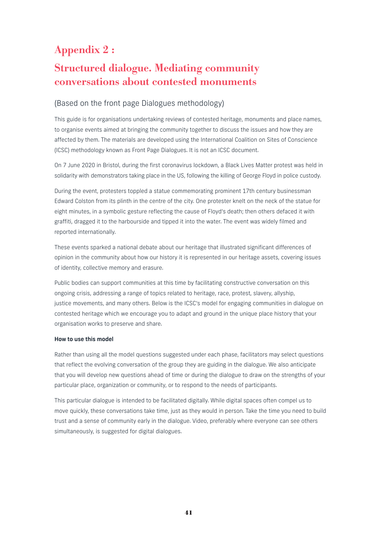# Appendix 2 :

# Structured dialogue. Mediating community conversations about contested monuments

# (Based on the front page Dialogues methodology)

This guide is for organisations undertaking reviews of contested heritage, monuments and place names, to organise events aimed at bringing the community together to discuss the issues and how they are affected by them. The materials are developed using the International Coalition on Sites of Conscience (ICSC) methodology known as Front Page Dialogues. It is not an ICSC document.

On 7 June 2020 in Bristol, during the first coronavirus lockdown, a Black Lives Matter protest was held in solidarity with demonstrators taking place in the US, following the killing of George Floyd in police custody.

During the event, protesters toppled a statue commemorating prominent 17th century businessman Edward Colston from its plinth in the centre of the city. One protester knelt on the neck of the statue for eight minutes, in a symbolic gesture reflecting the cause of Floyd's death; then others defaced it with graffiti, dragged it to the harbourside and tipped it into the water. The event was widely filmed and reported internationally.

These events sparked a national debate about our heritage that illustrated significant differences of opinion in the community about how our history it is represented in our heritage assets, covering issues of identity, collective memory and erasure.

Public bodies can support communities at this time by facilitating constructive conversation on this ongoing crisis, addressing a range of topics related to heritage, race, protest, slavery, allyship, justice movements, and many others. Below is the ICSC's model for engaging communities in dialogue on contested heritage which we encourage you to adapt and ground in the unique place history that your organisation works to preserve and share.

# How to use this model

Rather than using all the model questions suggested under each phase, facilitators may select questions that reflect the evolving conversation of the group they are guiding in the dialogue. We also anticipate that you will develop new questions ahead of time or during the dialogue to draw on the strengths of your particular place, organization or community, or to respond to the needs of participants.

This particular dialogue is intended to be facilitated digitally. While digital spaces often compel us to move quickly, these conversations take time, just as they would in person. Take the time you need to build trust and a sense of community early in the dialogue. Video, preferably where everyone can see others simultaneously, is suggested for digital dialogues.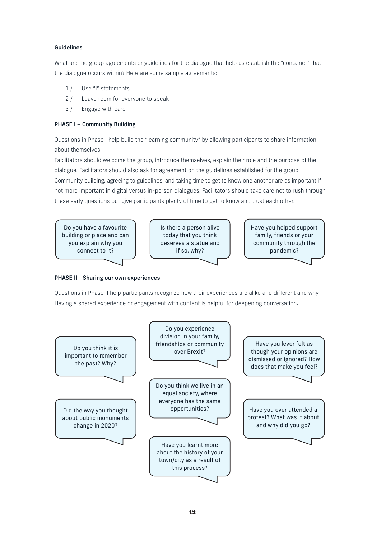# Guidelines

What are the group agreements or guidelines for the dialogue that help us establish the "container" that the dialogue occurs within? Here are some sample agreements:

- 1/ Use "I" statements
- 2 / Leave room for everyone to speak
- 3 / Engage with care

# PHASE I – Community Building

Questions in Phase I help build the "learning community" by allowing participants to share information about themselves.

Facilitators should welcome the group, introduce themselves, explain their role and the purpose of the dialogue. Facilitators should also ask for agreement on the guidelines established for the group. Community building, agreeing to guidelines, and taking time to get to know one another are as important if not more important in digital versus in-person dialogues. Facilitators should take care not to rush through these early questions but give participants plenty of time to get to know and trust each other.



#### PHASE II - Sharing our own experiences conditing our

Questions in Phase II help participants recognize how their experiences are alike and different and why. Having a shared experience or engagement with content is helpful for deepening conversation. and when content is neiph

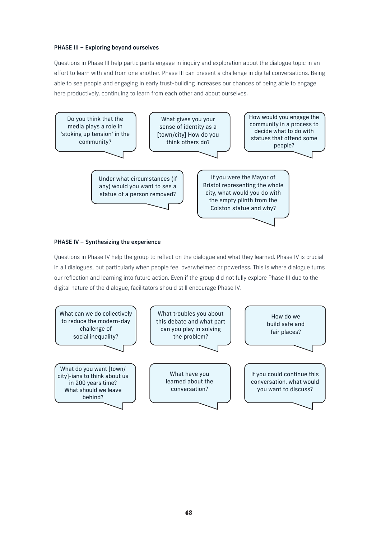# PHASE III – Exploring beyond ourselves

Questions in Phase III help participants engage in inquiry and exploration about the dialogue topic in an effort to learn with and from one another. Phase III can present a challenge in digital conversations. Being able to see people and engaging in early trust-building increases our chances of being able to engage here productively, continuing to learn from each other and about ourselves. engage in inquiry and explor to see people and engaging in early trust-building increases our chances of being able to engage every in carrier contraction of the same of the same of the same of the same of the same of the same of the sa



# PHASE IV - Synthesizing the experience

Questions in Phase IV help the group to reflect on the dialogue and what they learned. Phase IV is crucial in all dialogues, but particularly when people feel overwhelmed or powerless. This is where dialogue turns our reflection and learning into future action. Even if the group did not fully explore Phase III due to the digital nature of the dialogue, facilitators should still encourage Phase IV. uestions in Phase IV help th to reflect on the dialogue and what they learned. Phase I IV help the group to reflect on the dialogue and what they learned. Phase IV is the empty place. This is made a **Collection** is why